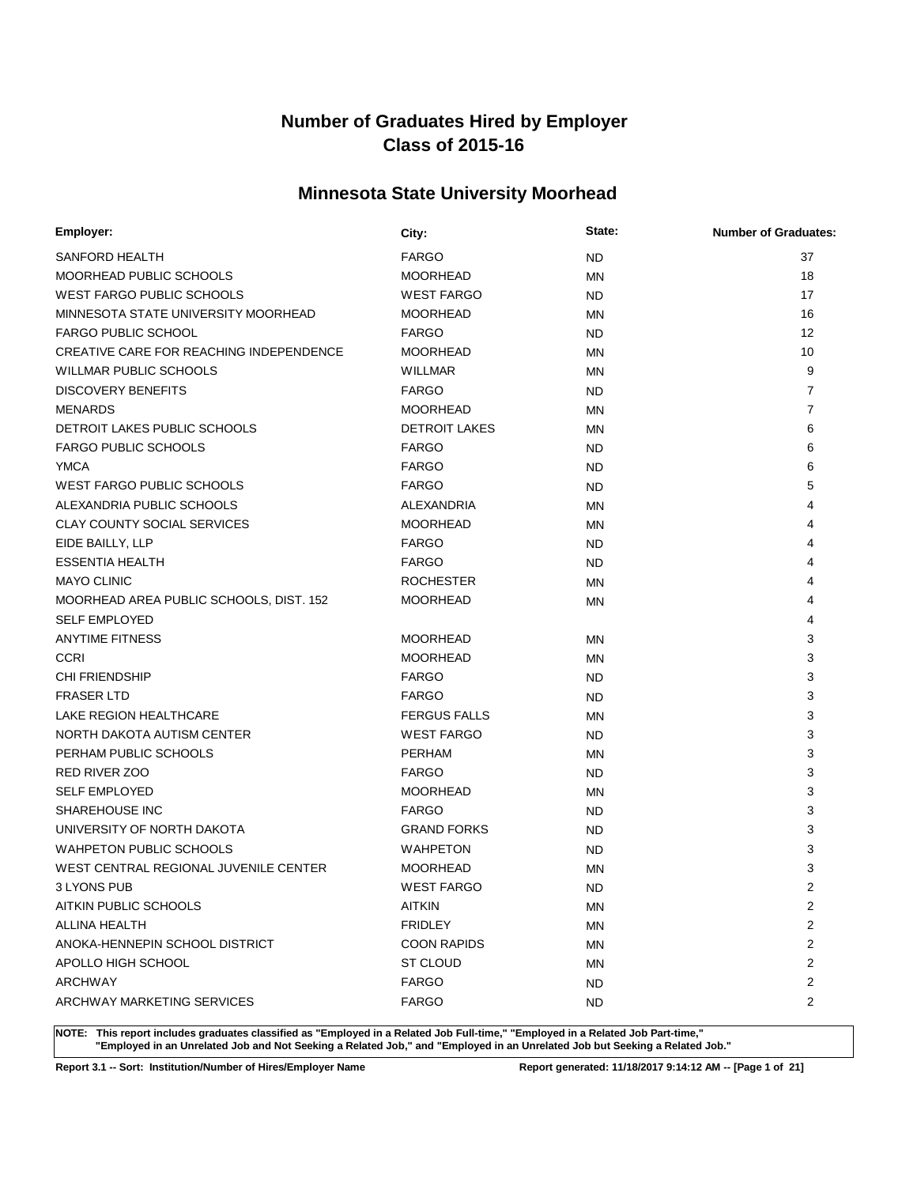# **Minnesota State University Moorhead**

| Employer:                               | City:                | State:    | <b>Number of Graduates:</b> |
|-----------------------------------------|----------------------|-----------|-----------------------------|
| SANFORD HEALTH                          | <b>FARGO</b>         | <b>ND</b> | 37                          |
| MOORHEAD PUBLIC SCHOOLS                 | <b>MOORHEAD</b>      | <b>MN</b> | 18                          |
| <b>WEST FARGO PUBLIC SCHOOLS</b>        | <b>WEST FARGO</b>    | <b>ND</b> | 17                          |
| MINNESOTA STATE UNIVERSITY MOORHEAD     | <b>MOORHEAD</b>      | <b>MN</b> | 16                          |
| <b>FARGO PUBLIC SCHOOL</b>              | <b>FARGO</b>         | ND.       | 12                          |
| CREATIVE CARE FOR REACHING INDEPENDENCE | <b>MOORHEAD</b>      | <b>MN</b> | 10                          |
| <b>WILLMAR PUBLIC SCHOOLS</b>           | <b>WILLMAR</b>       | MN        | 9                           |
| <b>DISCOVERY BENEFITS</b>               | <b>FARGO</b>         | <b>ND</b> | $\overline{7}$              |
| <b>MENARDS</b>                          | <b>MOORHEAD</b>      | MN        | $\overline{7}$              |
| DETROIT LAKES PUBLIC SCHOOLS            | <b>DETROIT LAKES</b> | <b>MN</b> | 6                           |
| <b>FARGO PUBLIC SCHOOLS</b>             | <b>FARGO</b>         | <b>ND</b> | 6                           |
| <b>YMCA</b>                             | <b>FARGO</b>         | <b>ND</b> | 6                           |
| <b>WEST FARGO PUBLIC SCHOOLS</b>        | <b>FARGO</b>         | <b>ND</b> | 5                           |
| ALEXANDRIA PUBLIC SCHOOLS               | ALEXANDRIA           | <b>MN</b> | 4                           |
| <b>CLAY COUNTY SOCIAL SERVICES</b>      | <b>MOORHEAD</b>      | MN        | 4                           |
| EIDE BAILLY, LLP                        | <b>FARGO</b>         | <b>ND</b> | 4                           |
| <b>ESSENTIA HEALTH</b>                  | <b>FARGO</b>         | <b>ND</b> | 4                           |
| <b>MAYO CLINIC</b>                      | <b>ROCHESTER</b>     | MN        | 4                           |
| MOORHEAD AREA PUBLIC SCHOOLS, DIST. 152 | <b>MOORHEAD</b>      | MN        | 4                           |
| <b>SELF EMPLOYED</b>                    |                      |           | 4                           |
| <b>ANYTIME FITNESS</b>                  | <b>MOORHEAD</b>      | ΜN        | 3                           |
| <b>CCRI</b>                             | <b>MOORHEAD</b>      | MN        | 3                           |
| CHI FRIENDSHIP                          | <b>FARGO</b>         | <b>ND</b> | 3                           |
| <b>FRASER LTD</b>                       | <b>FARGO</b>         | <b>ND</b> | 3                           |
| LAKE REGION HEALTHCARE                  | <b>FERGUS FALLS</b>  | <b>MN</b> | 3                           |
| NORTH DAKOTA AUTISM CENTER              | <b>WEST FARGO</b>    | <b>ND</b> | 3                           |
| PERHAM PUBLIC SCHOOLS                   | PERHAM               | MN        | 3                           |
| <b>RED RIVER ZOO</b>                    | <b>FARGO</b>         | <b>ND</b> | 3                           |
| <b>SELF EMPLOYED</b>                    | <b>MOORHEAD</b>      | ΜN        | 3                           |
| SHAREHOUSE INC                          | <b>FARGO</b>         | <b>ND</b> | 3                           |
| UNIVERSITY OF NORTH DAKOTA              | <b>GRAND FORKS</b>   | <b>ND</b> | 3                           |
| <b>WAHPETON PUBLIC SCHOOLS</b>          | <b>WAHPETON</b>      | <b>ND</b> | 3                           |
| WEST CENTRAL REGIONAL JUVENILE CENTER   | <b>MOORHEAD</b>      | <b>MN</b> | 3                           |
| 3 LYONS PUB                             | <b>WEST FARGO</b>    | <b>ND</b> | $\overline{2}$              |
| AITKIN PUBLIC SCHOOLS                   | <b>AITKIN</b>        | ΜN        | $\overline{2}$              |
| ALLINA HEALTH                           | <b>FRIDLEY</b>       | <b>MN</b> | 2                           |
| ANOKA-HENNEPIN SCHOOL DISTRICT          | <b>COON RAPIDS</b>   | ΜN        | 2                           |
| APOLLO HIGH SCHOOL                      | ST CLOUD             | ΜN        | 2                           |
| ARCHWAY                                 | <b>FARGO</b>         | ND.       | 2                           |
| ARCHWAY MARKETING SERVICES              | <b>FARGO</b>         | ND.       | 2                           |

**NOTE: This report includes graduates classified as "Employed in a Related Job Full-time," "Employed in a Related Job Part-time," "Employed in an Unrelated Job and Not Seeking a Related Job," and "Employed in an Unrelated Job but Seeking a Related Job."**

**Report 3.1 -- Sort: Institution/Number of Hires/Employer Name Report generated: 11/18/2017 9:14:12 AM -- [Page 1 of 21]**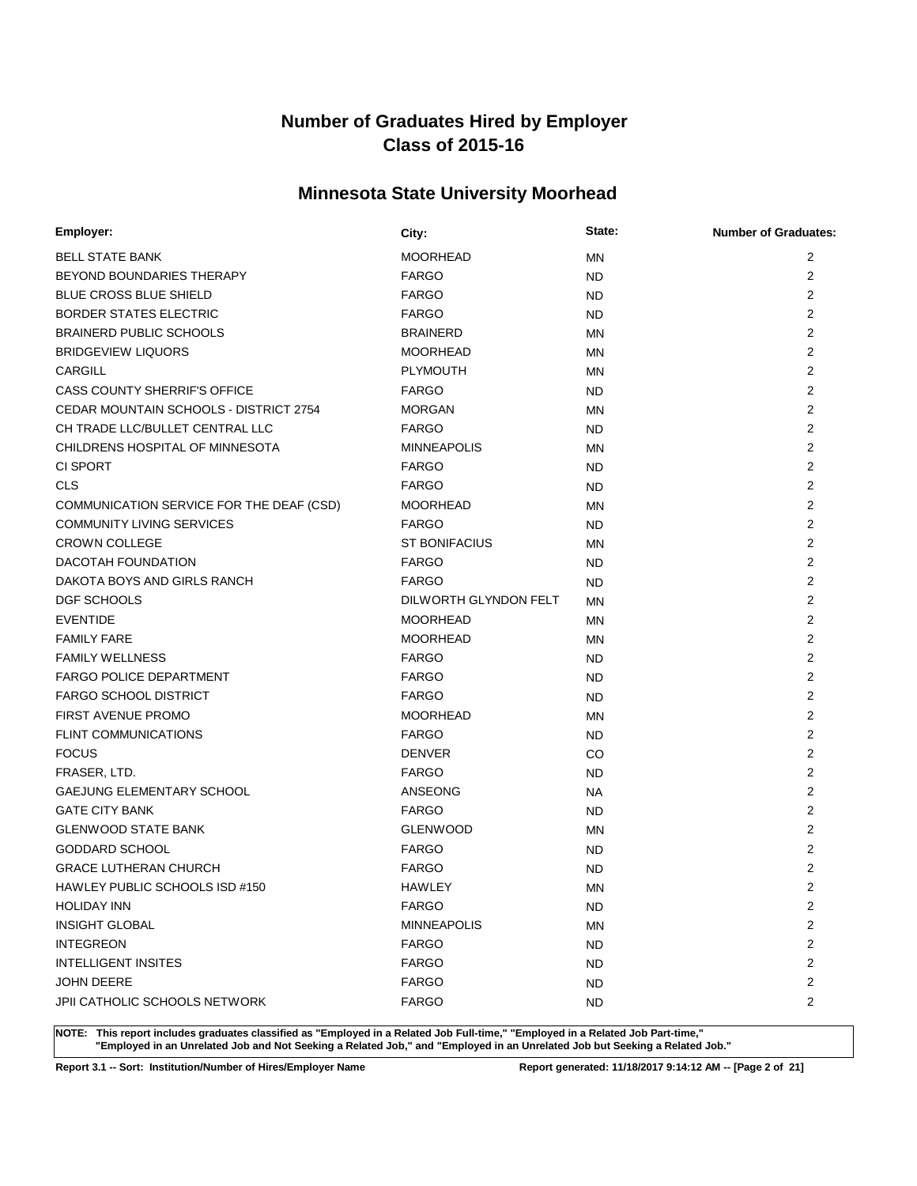# **Minnesota State University Moorhead**

| Employer:                                | City:                 | State:    | <b>Number of Graduates:</b> |
|------------------------------------------|-----------------------|-----------|-----------------------------|
| <b>BELL STATE BANK</b>                   | <b>MOORHEAD</b>       | <b>MN</b> | 2                           |
| BEYOND BOUNDARIES THERAPY                | <b>FARGO</b>          | <b>ND</b> | 2                           |
| <b>BLUE CROSS BLUE SHIELD</b>            | <b>FARGO</b>          | <b>ND</b> | $\overline{2}$              |
| <b>BORDER STATES ELECTRIC</b>            | <b>FARGO</b>          | <b>ND</b> | $\overline{2}$              |
| <b>BRAINERD PUBLIC SCHOOLS</b>           | <b>BRAINERD</b>       | <b>MN</b> | $\overline{2}$              |
| <b>BRIDGEVIEW LIQUORS</b>                | <b>MOORHEAD</b>       | MN        | 2                           |
| CARGILL                                  | <b>PLYMOUTH</b>       | <b>MN</b> | $\overline{2}$              |
| CASS COUNTY SHERRIF'S OFFICE             | <b>FARGO</b>          | ND.       | $\overline{2}$              |
| CEDAR MOUNTAIN SCHOOLS - DISTRICT 2754   | <b>MORGAN</b>         | <b>MN</b> | $\overline{2}$              |
| CH TRADE LLC/BULLET CENTRAL LLC          | <b>FARGO</b>          | <b>ND</b> | 2                           |
| CHILDRENS HOSPITAL OF MINNESOTA          | <b>MINNEAPOLIS</b>    | <b>MN</b> | $\overline{2}$              |
| <b>CI SPORT</b>                          | <b>FARGO</b>          | <b>ND</b> | $\overline{2}$              |
| <b>CLS</b>                               | <b>FARGO</b>          | <b>ND</b> | $\overline{2}$              |
| COMMUNICATION SERVICE FOR THE DEAF (CSD) | <b>MOORHEAD</b>       | <b>MN</b> | 2                           |
| <b>COMMUNITY LIVING SERVICES</b>         | <b>FARGO</b>          | <b>ND</b> | $\overline{2}$              |
| <b>CROWN COLLEGE</b>                     | <b>ST BONIFACIUS</b>  | <b>MN</b> | $\overline{2}$              |
| DACOTAH FOUNDATION                       | <b>FARGO</b>          | <b>ND</b> | $\overline{2}$              |
| DAKOTA BOYS AND GIRLS RANCH              | <b>FARGO</b>          | <b>ND</b> | 2                           |
| DGF SCHOOLS                              | DILWORTH GLYNDON FELT | <b>MN</b> | $\overline{2}$              |
| <b>EVENTIDE</b>                          | <b>MOORHEAD</b>       | <b>MN</b> | $\overline{2}$              |
| <b>FAMILY FARE</b>                       | <b>MOORHEAD</b>       | <b>MN</b> | $\overline{2}$              |
| <b>FAMILY WELLNESS</b>                   | <b>FARGO</b>          | <b>ND</b> | $\overline{2}$              |
| <b>FARGO POLICE DEPARTMENT</b>           | <b>FARGO</b>          | <b>ND</b> | 2                           |
| <b>FARGO SCHOOL DISTRICT</b>             | <b>FARGO</b>          | <b>ND</b> | 2                           |
| <b>FIRST AVENUE PROMO</b>                | <b>MOORHEAD</b>       | MN        | $\overline{2}$              |
| <b>FLINT COMMUNICATIONS</b>              | <b>FARGO</b>          | <b>ND</b> | 2                           |
| <b>FOCUS</b>                             | <b>DENVER</b>         | CO        | 2                           |
| FRASER, LTD.                             | <b>FARGO</b>          | <b>ND</b> | 2                           |
| GAEJUNG ELEMENTARY SCHOOL                | ANSEONG               | <b>NA</b> | $\overline{2}$              |
| <b>GATE CITY BANK</b>                    | <b>FARGO</b>          | <b>ND</b> | $\overline{2}$              |
| <b>GLENWOOD STATE BANK</b>               | <b>GLENWOOD</b>       | MN        | 2                           |
| <b>GODDARD SCHOOL</b>                    | <b>FARGO</b>          | <b>ND</b> | $\overline{2}$              |
| <b>GRACE LUTHERAN CHURCH</b>             | <b>FARGO</b>          | <b>ND</b> | $\overline{2}$              |
| HAWLEY PUBLIC SCHOOLS ISD #150           | HAWLEY                | <b>MN</b> | $\overline{2}$              |
| <b>HOLIDAY INN</b>                       | <b>FARGO</b>          | <b>ND</b> | 2                           |
| <b>INSIGHT GLOBAL</b>                    | <b>MINNEAPOLIS</b>    | <b>MN</b> | 2                           |
| <b>INTEGREON</b>                         | <b>FARGO</b>          | <b>ND</b> | 2                           |
| <b>INTELLIGENT INSITES</b>               | <b>FARGO</b>          | <b>ND</b> | 2                           |
| <b>JOHN DEERE</b>                        | <b>FARGO</b>          | <b>ND</b> | 2                           |
| JPII CATHOLIC SCHOOLS NETWORK            | <b>FARGO</b>          | <b>ND</b> | 2                           |

**NOTE: This report includes graduates classified as "Employed in a Related Job Full-time," "Employed in a Related Job Part-time," "Employed in an Unrelated Job and Not Seeking a Related Job," and "Employed in an Unrelated Job but Seeking a Related Job."**

**Report 3.1 -- Sort: Institution/Number of Hires/Employer Name Report generated: 11/18/2017 9:14:12 AM -- [Page 2 of 21]**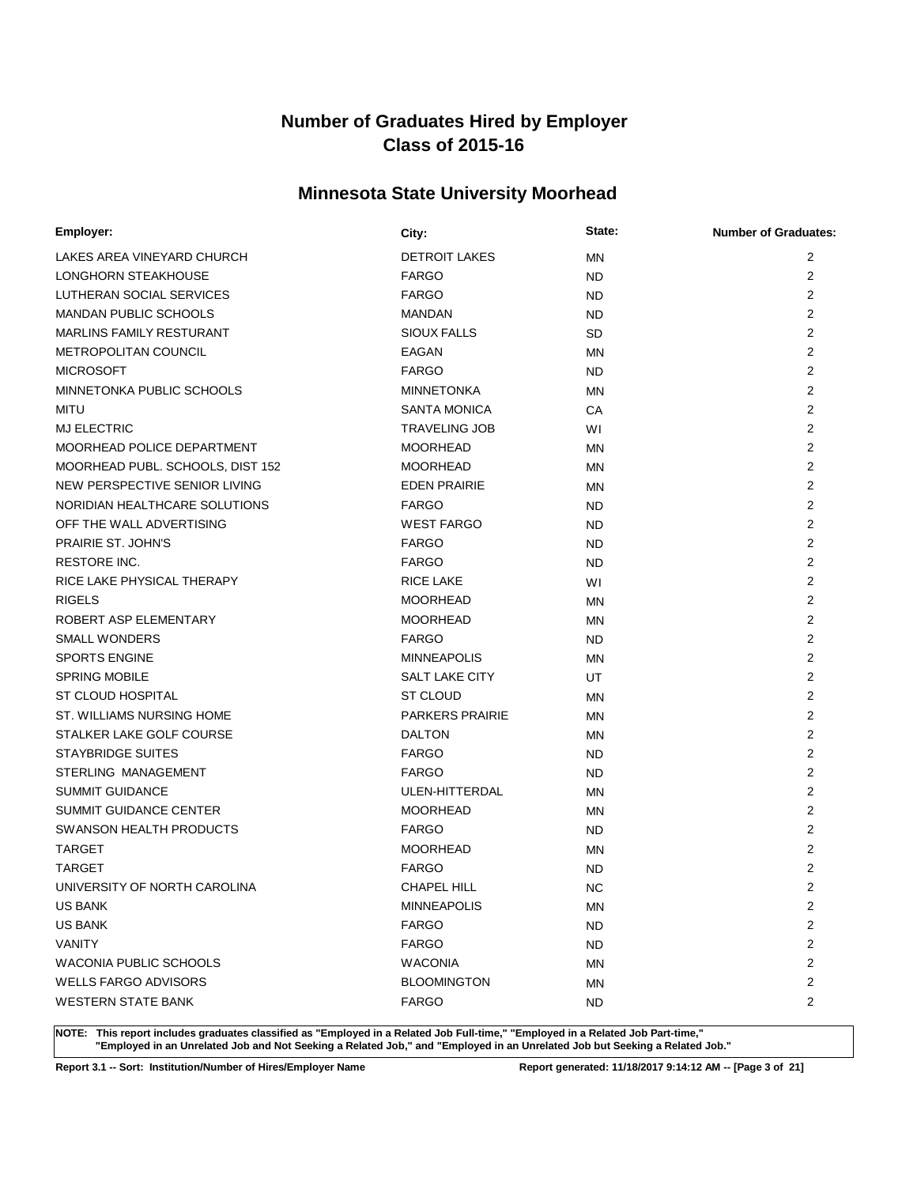# **Minnesota State University Moorhead**

| Employer:                        | City:                  | State:    | <b>Number of Graduates:</b> |
|----------------------------------|------------------------|-----------|-----------------------------|
| LAKES AREA VINEYARD CHURCH       | <b>DETROIT LAKES</b>   | <b>MN</b> | 2                           |
| LONGHORN STEAKHOUSE              | <b>FARGO</b>           | <b>ND</b> | 2                           |
| LUTHERAN SOCIAL SERVICES         | <b>FARGO</b>           | <b>ND</b> | $\overline{2}$              |
| MANDAN PUBLIC SCHOOLS            | <b>MANDAN</b>          | <b>ND</b> | 2                           |
| <b>MARLINS FAMILY RESTURANT</b>  | <b>SIOUX FALLS</b>     | <b>SD</b> | $\overline{2}$              |
| METROPOLITAN COUNCIL             | EAGAN                  | <b>MN</b> | $\overline{2}$              |
| <b>MICROSOFT</b>                 | <b>FARGO</b>           | <b>ND</b> | $\overline{2}$              |
| MINNETONKA PUBLIC SCHOOLS        | <b>MINNETONKA</b>      | <b>MN</b> | $\overline{2}$              |
| <b>MITU</b>                      | <b>SANTA MONICA</b>    | CA        | $\overline{2}$              |
| <b>MJ ELECTRIC</b>               | <b>TRAVELING JOB</b>   | W١        | 2                           |
| MOORHEAD POLICE DEPARTMENT       | <b>MOORHEAD</b>        | <b>MN</b> | $\overline{2}$              |
| MOORHEAD PUBL. SCHOOLS, DIST 152 | <b>MOORHEAD</b>        | <b>MN</b> | $\overline{2}$              |
| NEW PERSPECTIVE SENIOR LIVING    | <b>EDEN PRAIRIE</b>    | <b>MN</b> | $\overline{2}$              |
| NORIDIAN HEALTHCARE SOLUTIONS    | <b>FARGO</b>           | <b>ND</b> | 2                           |
| OFF THE WALL ADVERTISING         | <b>WEST FARGO</b>      | <b>ND</b> | $\overline{2}$              |
| PRAIRIE ST. JOHN'S               | <b>FARGO</b>           | <b>ND</b> | $\overline{2}$              |
| <b>RESTORE INC.</b>              | <b>FARGO</b>           | <b>ND</b> | $\overline{2}$              |
| RICE LAKE PHYSICAL THERAPY       | <b>RICE LAKE</b>       | WI        | 2                           |
| <b>RIGELS</b>                    | <b>MOORHEAD</b>        | <b>MN</b> | $\overline{2}$              |
| ROBERT ASP ELEMENTARY            | <b>MOORHEAD</b>        | <b>MN</b> | $\overline{2}$              |
| <b>SMALL WONDERS</b>             | <b>FARGO</b>           | <b>ND</b> | $\overline{2}$              |
| <b>SPORTS ENGINE</b>             | <b>MINNEAPOLIS</b>     | MN        | 2                           |
| <b>SPRING MOBILE</b>             | SALT LAKE CITY         | UT        | 2                           |
| ST CLOUD HOSPITAL                | <b>ST CLOUD</b>        | <b>MN</b> | 2                           |
| ST. WILLIAMS NURSING HOME        | <b>PARKERS PRAIRIE</b> | MN        | $\overline{2}$              |
| STALKER LAKE GOLF COURSE         | <b>DALTON</b>          | MN        | 2                           |
| <b>STAYBRIDGE SUITES</b>         | <b>FARGO</b>           | <b>ND</b> | 2                           |
| STERLING MANAGEMENT              | <b>FARGO</b>           | <b>ND</b> | 2                           |
| <b>SUMMIT GUIDANCE</b>           | ULEN-HITTERDAL         | <b>MN</b> | $\overline{2}$              |
| <b>SUMMIT GUIDANCE CENTER</b>    | <b>MOORHEAD</b>        | MN        | $\overline{2}$              |
| SWANSON HEALTH PRODUCTS          | <b>FARGO</b>           | <b>ND</b> | 2                           |
| <b>TARGET</b>                    | <b>MOORHEAD</b>        | MN        | 2                           |
| <b>TARGET</b>                    | <b>FARGO</b>           | <b>ND</b> | $\overline{2}$              |
| UNIVERSITY OF NORTH CAROLINA     | CHAPEL HILL            | <b>NC</b> | $\overline{2}$              |
| <b>US BANK</b>                   | <b>MINNEAPOLIS</b>     | MN        | 2                           |
| <b>US BANK</b>                   | <b>FARGO</b>           | <b>ND</b> | 2                           |
| <b>VANITY</b>                    | <b>FARGO</b>           | <b>ND</b> | 2                           |
| WACONIA PUBLIC SCHOOLS           | <b>WACONIA</b>         | MN        | 2                           |
| <b>WELLS FARGO ADVISORS</b>      | <b>BLOOMINGTON</b>     | MN        | 2                           |
| <b>WESTERN STATE BANK</b>        | <b>FARGO</b>           | <b>ND</b> | 2                           |

**NOTE: This report includes graduates classified as "Employed in a Related Job Full-time," "Employed in a Related Job Part-time," "Employed in an Unrelated Job and Not Seeking a Related Job," and "Employed in an Unrelated Job but Seeking a Related Job."**

**Report 3.1 -- Sort: Institution/Number of Hires/Employer Name Report generated: 11/18/2017 9:14:12 AM -- [Page 3 of 21]**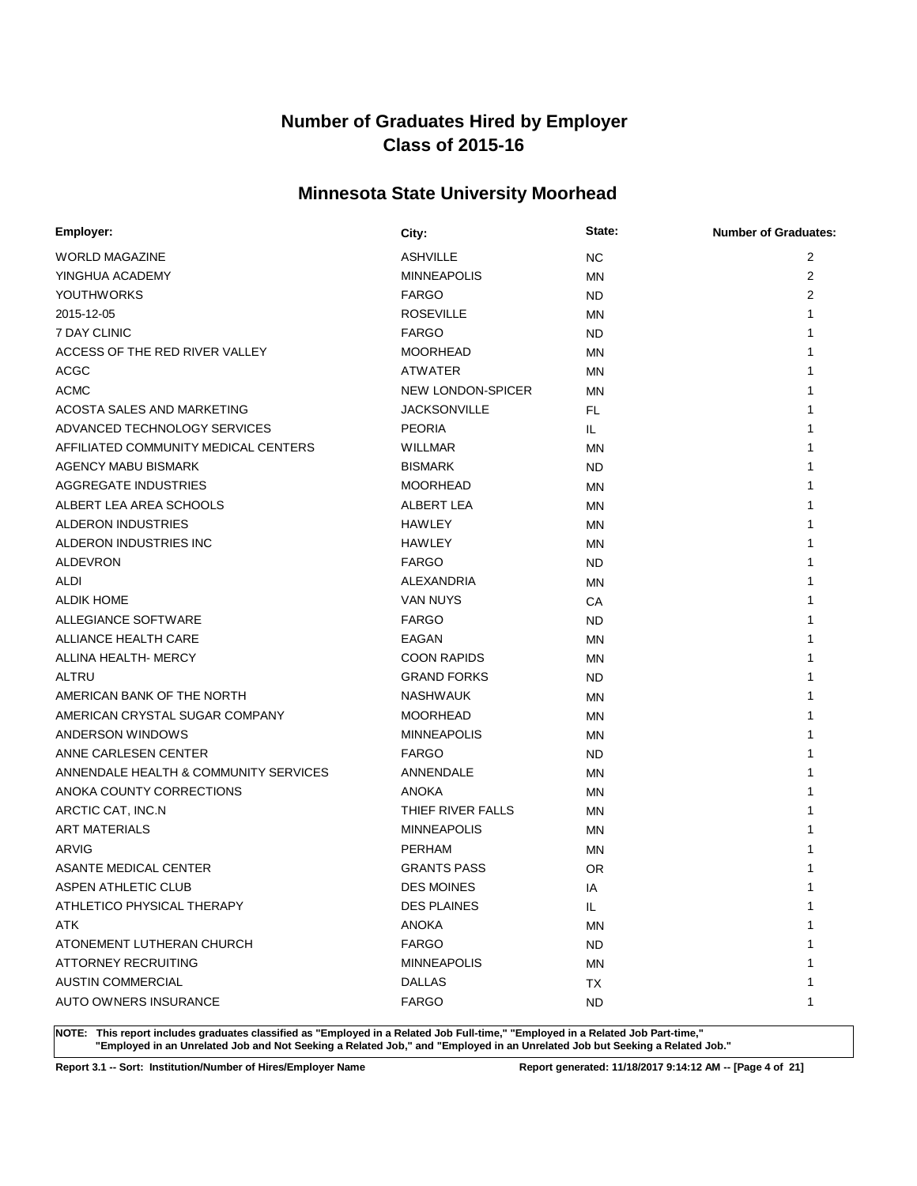# **Minnesota State University Moorhead**

| Employer:                             | City:               | State:    | <b>Number of Graduates:</b> |
|---------------------------------------|---------------------|-----------|-----------------------------|
| <b>WORLD MAGAZINE</b>                 | <b>ASHVILLE</b>     | <b>NC</b> | 2                           |
| YINGHUA ACADEMY                       | <b>MINNEAPOLIS</b>  | <b>MN</b> | 2                           |
| <b>YOUTHWORKS</b>                     | <b>FARGO</b>        | <b>ND</b> | $\overline{2}$              |
| 2015-12-05                            | <b>ROSEVILLE</b>    | <b>MN</b> |                             |
| 7 DAY CLINIC                          | <b>FARGO</b>        | <b>ND</b> |                             |
| ACCESS OF THE RED RIVER VALLEY        | <b>MOORHEAD</b>     | <b>MN</b> |                             |
| <b>ACGC</b>                           | <b>ATWATER</b>      | <b>MN</b> |                             |
| <b>ACMC</b>                           | NEW LONDON-SPICER   | <b>MN</b> |                             |
| ACOSTA SALES AND MARKETING            | <b>JACKSONVILLE</b> | FL.       |                             |
| ADVANCED TECHNOLOGY SERVICES          | <b>PEORIA</b>       | IL.       |                             |
| AFFILIATED COMMUNITY MEDICAL CENTERS  | WILLMAR             | <b>MN</b> |                             |
| <b>AGENCY MABU BISMARK</b>            | <b>BISMARK</b>      | <b>ND</b> |                             |
| AGGREGATE INDUSTRIES                  | <b>MOORHEAD</b>     | MN        |                             |
| ALBERT LEA AREA SCHOOLS               | ALBERT LEA          | ΜN        |                             |
| ALDERON INDUSTRIES                    | <b>HAWLEY</b>       | MN        |                             |
| ALDERON INDUSTRIES INC                | HAWLEY              | MN        |                             |
| <b>ALDEVRON</b>                       | <b>FARGO</b>        | <b>ND</b> |                             |
| ALDI                                  | <b>ALEXANDRIA</b>   | MN        |                             |
| <b>ALDIK HOME</b>                     | <b>VAN NUYS</b>     | СA        |                             |
| <b>ALLEGIANCE SOFTWARE</b>            | <b>FARGO</b>        | <b>ND</b> |                             |
| ALLIANCE HEALTH CARE                  | <b>EAGAN</b>        | MN        |                             |
| ALLINA HEALTH- MERCY                  | <b>COON RAPIDS</b>  | <b>MN</b> |                             |
| ALTRU                                 | <b>GRAND FORKS</b>  | <b>ND</b> |                             |
| AMERICAN BANK OF THE NORTH            | <b>NASHWAUK</b>     | MN        |                             |
| AMERICAN CRYSTAL SUGAR COMPANY        | <b>MOORHEAD</b>     | ΜN        |                             |
| ANDERSON WINDOWS                      | <b>MINNEAPOLIS</b>  | <b>MN</b> |                             |
| ANNE CARLESEN CENTER                  | <b>FARGO</b>        | <b>ND</b> |                             |
| ANNENDALE HEALTH & COMMUNITY SERVICES | ANNENDALE           | <b>MN</b> |                             |
| ANOKA COUNTY CORRECTIONS              | <b>ANOKA</b>        | MN        |                             |
| ARCTIC CAT, INC.N                     | THIEF RIVER FALLS   | <b>MN</b> |                             |
| <b>ART MATERIALS</b>                  | <b>MINNEAPOLIS</b>  | <b>MN</b> |                             |
| ARVIG                                 | <b>PERHAM</b>       | MN        |                             |
| <b>ASANTE MEDICAL CENTER</b>          | <b>GRANTS PASS</b>  | OR.       |                             |
| ASPEN ATHLETIC CLUB                   | <b>DES MOINES</b>   | ΙA        | 1                           |
| ATHLETICO PHYSICAL THERAPY            | <b>DES PLAINES</b>  | IL.       | 1                           |
| ATK                                   | <b>ANOKA</b>        | <b>MN</b> |                             |
| ATONEMENT LUTHERAN CHURCH             | <b>FARGO</b>        | <b>ND</b> |                             |
| ATTORNEY RECRUITING                   | <b>MINNEAPOLIS</b>  | <b>MN</b> |                             |
| <b>AUSTIN COMMERCIAL</b>              | <b>DALLAS</b>       | ТX        |                             |
| AUTO OWNERS INSURANCE                 | <b>FARGO</b>        | <b>ND</b> | 1                           |

**NOTE: This report includes graduates classified as "Employed in a Related Job Full-time," "Employed in a Related Job Part-time," "Employed in an Unrelated Job and Not Seeking a Related Job," and "Employed in an Unrelated Job but Seeking a Related Job."**

**Report 3.1 -- Sort: Institution/Number of Hires/Employer Name Report generated: 11/18/2017 9:14:12 AM -- [Page 4 of 21]**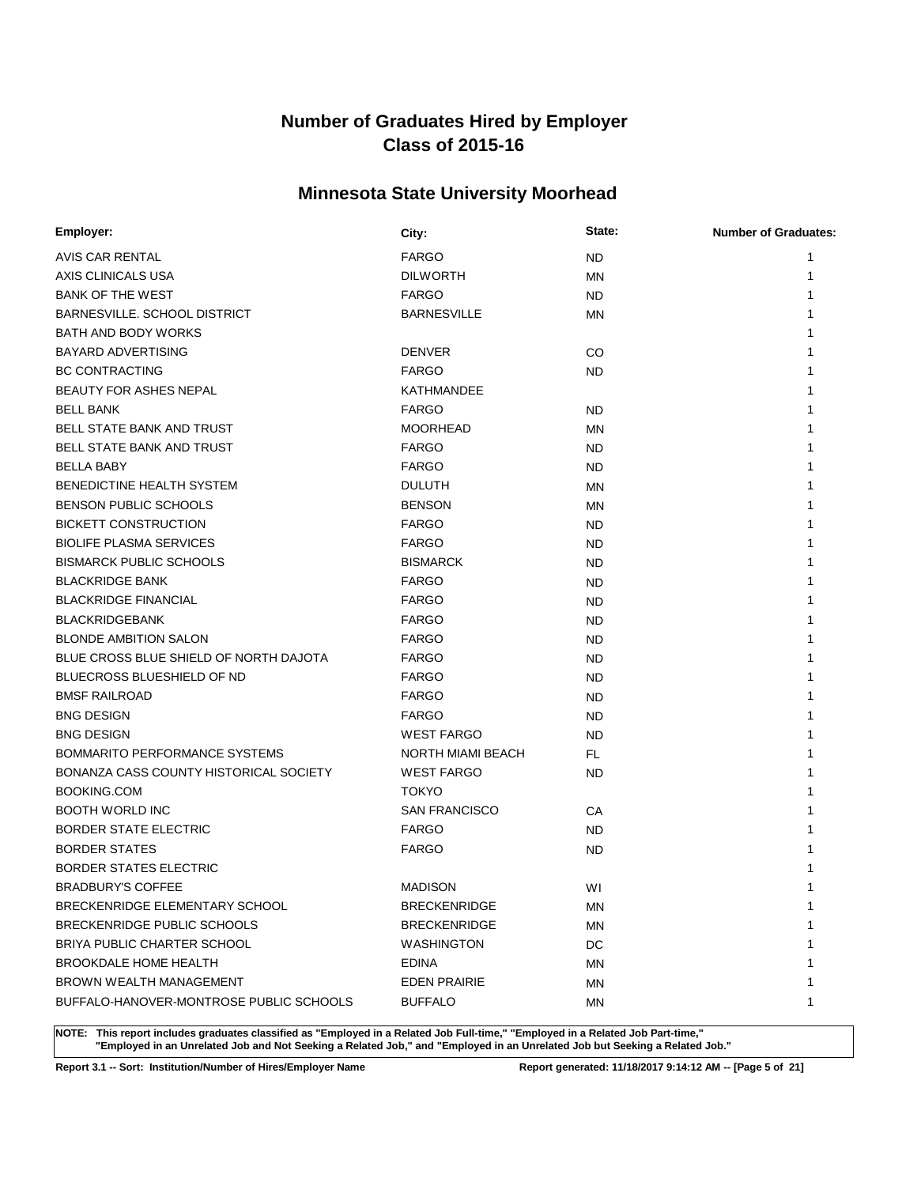# **Minnesota State University Moorhead**

| Employer:                               | City:                | State:    | <b>Number of Graduates:</b> |
|-----------------------------------------|----------------------|-----------|-----------------------------|
| AVIS CAR RENTAL                         | <b>FARGO</b>         | <b>ND</b> |                             |
| AXIS CLINICALS USA                      | <b>DILWORTH</b>      | MN        |                             |
| <b>BANK OF THE WEST</b>                 | <b>FARGO</b>         | <b>ND</b> |                             |
| BARNESVILLE, SCHOOL DISTRICT            | <b>BARNESVILLE</b>   | MN        |                             |
| BATH AND BODY WORKS                     |                      |           |                             |
| <b>BAYARD ADVERTISING</b>               | <b>DENVER</b>        | CO        |                             |
| <b>BC CONTRACTING</b>                   | <b>FARGO</b>         | <b>ND</b> |                             |
| BEAUTY FOR ASHES NEPAL                  | <b>KATHMANDEE</b>    |           |                             |
| <b>BELL BANK</b>                        | <b>FARGO</b>         | <b>ND</b> |                             |
| <b>BELL STATE BANK AND TRUST</b>        | <b>MOORHEAD</b>      | MN        |                             |
| BELL STATE BANK AND TRUST               | <b>FARGO</b>         | <b>ND</b> |                             |
| <b>BELLA BABY</b>                       | <b>FARGO</b>         | <b>ND</b> |                             |
| BENEDICTINE HEALTH SYSTEM               | <b>DULUTH</b>        | <b>MN</b> |                             |
| <b>BENSON PUBLIC SCHOOLS</b>            | <b>BENSON</b>        | MN        |                             |
| <b>BICKETT CONSTRUCTION</b>             | <b>FARGO</b>         | <b>ND</b> |                             |
| <b>BIOLIFE PLASMA SERVICES</b>          | <b>FARGO</b>         | ND        |                             |
| <b>BISMARCK PUBLIC SCHOOLS</b>          | <b>BISMARCK</b>      | <b>ND</b> |                             |
| <b>BLACKRIDGE BANK</b>                  | <b>FARGO</b>         | ND.       |                             |
| <b>BLACKRIDGE FINANCIAL</b>             | <b>FARGO</b>         | <b>ND</b> |                             |
| <b>BLACKRIDGEBANK</b>                   | <b>FARGO</b>         | <b>ND</b> |                             |
| <b>BLONDE AMBITION SALON</b>            | <b>FARGO</b>         | <b>ND</b> |                             |
| BLUE CROSS BLUE SHIELD OF NORTH DAJOTA  | <b>FARGO</b>         | <b>ND</b> |                             |
| <b>BLUECROSS BLUESHIELD OF ND</b>       | <b>FARGO</b>         | <b>ND</b> |                             |
| <b>BMSF RAILROAD</b>                    | <b>FARGO</b>         | <b>ND</b> |                             |
| <b>BNG DESIGN</b>                       | <b>FARGO</b>         | <b>ND</b> |                             |
| <b>BNG DESIGN</b>                       | <b>WEST FARGO</b>    | <b>ND</b> |                             |
| <b>BOMMARITO PERFORMANCE SYSTEMS</b>    | NORTH MIAMI BEACH    | FL.       |                             |
| BONANZA CASS COUNTY HISTORICAL SOCIETY  | <b>WEST FARGO</b>    | <b>ND</b> |                             |
| BOOKING.COM                             | <b>TOKYO</b>         |           |                             |
| <b>BOOTH WORLD INC</b>                  | <b>SAN FRANCISCO</b> | СA        |                             |
| <b>BORDER STATE ELECTRIC</b>            | <b>FARGO</b>         | <b>ND</b> |                             |
| <b>BORDER STATES</b>                    | <b>FARGO</b>         | <b>ND</b> |                             |
| <b>BORDER STATES ELECTRIC</b>           |                      |           |                             |
| <b>BRADBURY'S COFFEE</b>                | <b>MADISON</b>       | WI        |                             |
| BRECKENRIDGE ELEMENTARY SCHOOL          | <b>BRECKENRIDGE</b>  | MN        | 1                           |
| BRECKENRIDGE PUBLIC SCHOOLS             | <b>BRECKENRIDGE</b>  | MN        | 1                           |
| BRIYA PUBLIC CHARTER SCHOOL             | <b>WASHINGTON</b>    | DC        |                             |
| <b>BROOKDALE HOME HEALTH</b>            | <b>EDINA</b>         | ΜN        |                             |
| <b>BROWN WEALTH MANAGEMENT</b>          | <b>EDEN PRAIRIE</b>  | MN        |                             |
| BUFFALO-HANOVER-MONTROSE PUBLIC SCHOOLS | <b>BUFFALO</b>       | ΜN        | 1                           |

**NOTE: This report includes graduates classified as "Employed in a Related Job Full-time," "Employed in a Related Job Part-time," "Employed in an Unrelated Job and Not Seeking a Related Job," and "Employed in an Unrelated Job but Seeking a Related Job."**

**Report 3.1 -- Sort: Institution/Number of Hires/Employer Name Report generated: 11/18/2017 9:14:12 AM -- [Page 5 of 21]**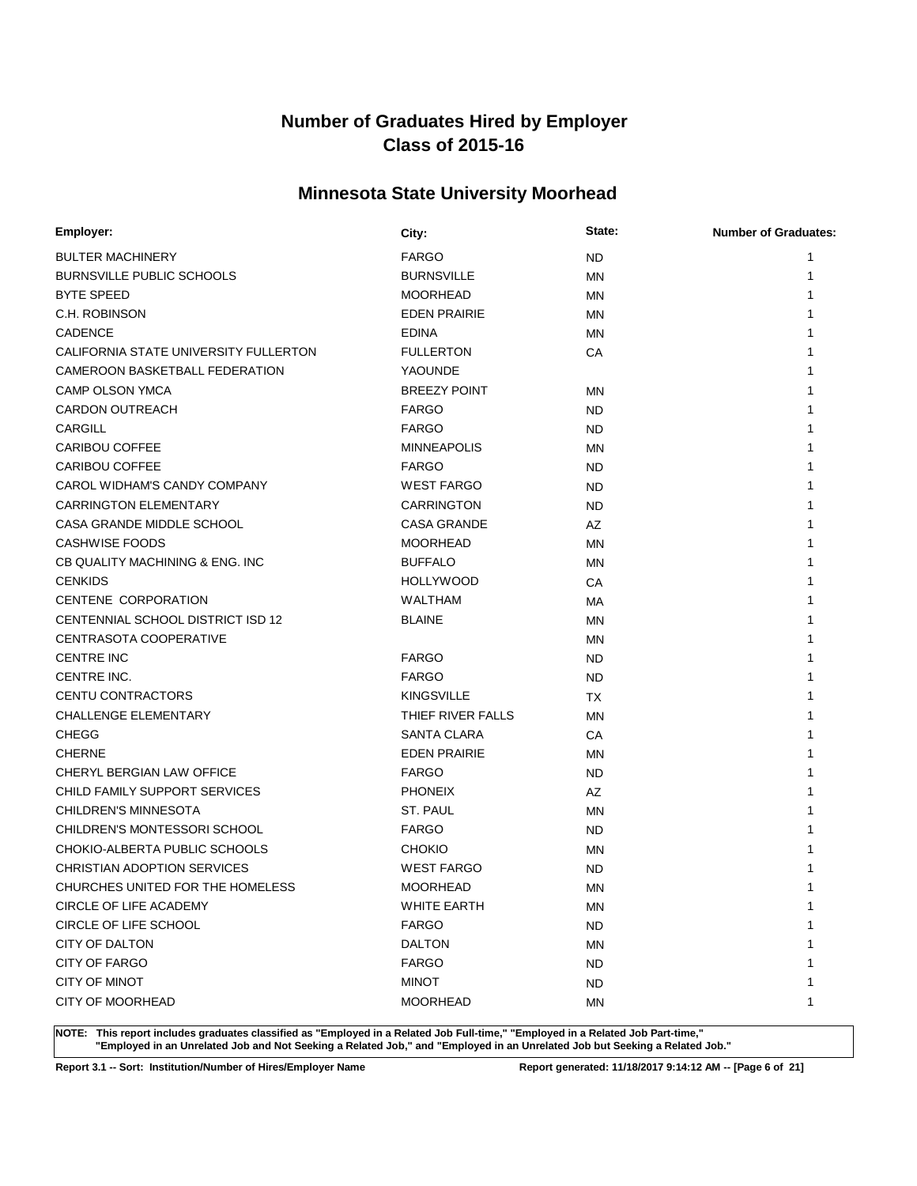# **Minnesota State University Moorhead**

| Employer:                             | City:               | State:    | <b>Number of Graduates:</b> |
|---------------------------------------|---------------------|-----------|-----------------------------|
| <b>BULTER MACHINERY</b>               | <b>FARGO</b>        | <b>ND</b> | 1                           |
| <b>BURNSVILLE PUBLIC SCHOOLS</b>      | <b>BURNSVILLE</b>   | <b>MN</b> | 1                           |
| <b>BYTE SPEED</b>                     | <b>MOORHEAD</b>     | <b>MN</b> |                             |
| C.H. ROBINSON                         | <b>EDEN PRAIRIE</b> | <b>MN</b> |                             |
| <b>CADENCE</b>                        | <b>EDINA</b>        | <b>MN</b> |                             |
| CALIFORNIA STATE UNIVERSITY FULLERTON | <b>FULLERTON</b>    | CA        |                             |
| CAMEROON BASKETBALL FEDERATION        | YAOUNDE             |           |                             |
| CAMP OLSON YMCA                       | <b>BREEZY POINT</b> | MN        |                             |
| <b>CARDON OUTREACH</b>                | <b>FARGO</b>        | <b>ND</b> |                             |
| <b>CARGILL</b>                        | <b>FARGO</b>        | <b>ND</b> |                             |
| <b>CARIBOU COFFEE</b>                 | <b>MINNEAPOLIS</b>  | <b>MN</b> |                             |
| <b>CARIBOU COFFEE</b>                 | <b>FARGO</b>        | ND.       |                             |
| CAROL WIDHAM'S CANDY COMPANY          | <b>WEST FARGO</b>   | <b>ND</b> | 1                           |
| <b>CARRINGTON ELEMENTARY</b>          | <b>CARRINGTON</b>   | <b>ND</b> | 1                           |
| CASA GRANDE MIDDLE SCHOOL             | <b>CASA GRANDE</b>  | AZ        |                             |
| <b>CASHWISE FOODS</b>                 | <b>MOORHEAD</b>     | <b>MN</b> |                             |
| CB QUALITY MACHINING & ENG. INC       | <b>BUFFALO</b>      | <b>MN</b> |                             |
| <b>CENKIDS</b>                        | <b>HOLLYWOOD</b>    | CA        |                             |
| <b>CENTENE CORPORATION</b>            | <b>WALTHAM</b>      | МA        |                             |
| CENTENNIAL SCHOOL DISTRICT ISD 12     | <b>BLAINE</b>       | <b>MN</b> |                             |
| CENTRASOTA COOPERATIVE                |                     | MN        | 1                           |
| <b>CENTRE INC</b>                     | <b>FARGO</b>        | ND        | 1                           |
| CENTRE INC.                           | <b>FARGO</b>        | ND.       |                             |
| CENTU CONTRACTORS                     | <b>KINGSVILLE</b>   | ТX        | 1                           |
| <b>CHALLENGE ELEMENTARY</b>           | THIEF RIVER FALLS   | <b>MN</b> |                             |
| <b>CHEGG</b>                          | SANTA CLARA         | СA        | 1                           |
| <b>CHERNE</b>                         | <b>EDEN PRAIRIE</b> | <b>MN</b> |                             |
| CHERYL BERGIAN LAW OFFICE             | <b>FARGO</b>        | ND.       | 1                           |
| CHILD FAMILY SUPPORT SERVICES         | <b>PHONEIX</b>      | <b>AZ</b> | 1                           |
| <b>CHILDREN'S MINNESOTA</b>           | ST. PAUL            | <b>MN</b> | 1                           |
| CHILDREN'S MONTESSORI SCHOOL          | <b>FARGO</b>        | <b>ND</b> |                             |
| CHOKIO-ALBERTA PUBLIC SCHOOLS         | <b>CHOKIO</b>       | MN        |                             |
| <b>CHRISTIAN ADOPTION SERVICES</b>    | <b>WEST FARGO</b>   | <b>ND</b> |                             |
| CHURCHES UNITED FOR THE HOMELESS      | <b>MOORHEAD</b>     | <b>MN</b> | 1                           |
| CIRCLE OF LIFE ACADEMY                | <b>WHITE EARTH</b>  | ΜN        | 1                           |
| CIRCLE OF LIFE SCHOOL                 | <b>FARGO</b>        | <b>ND</b> | 1                           |
| CITY OF DALTON                        | <b>DALTON</b>       | <b>MN</b> | 1                           |
| <b>CITY OF FARGO</b>                  | <b>FARGO</b>        | <b>ND</b> | 1                           |
| CITY OF MINOT                         | <b>MINOT</b>        | <b>ND</b> | 1                           |
| <b>CITY OF MOORHEAD</b>               | <b>MOORHEAD</b>     | <b>MN</b> | 1                           |

**NOTE: This report includes graduates classified as "Employed in a Related Job Full-time," "Employed in a Related Job Part-time," "Employed in an Unrelated Job and Not Seeking a Related Job," and "Employed in an Unrelated Job but Seeking a Related Job."**

**Report 3.1 -- Sort: Institution/Number of Hires/Employer Name Report generated: 11/18/2017 9:14:12 AM -- [Page 6 of 21]**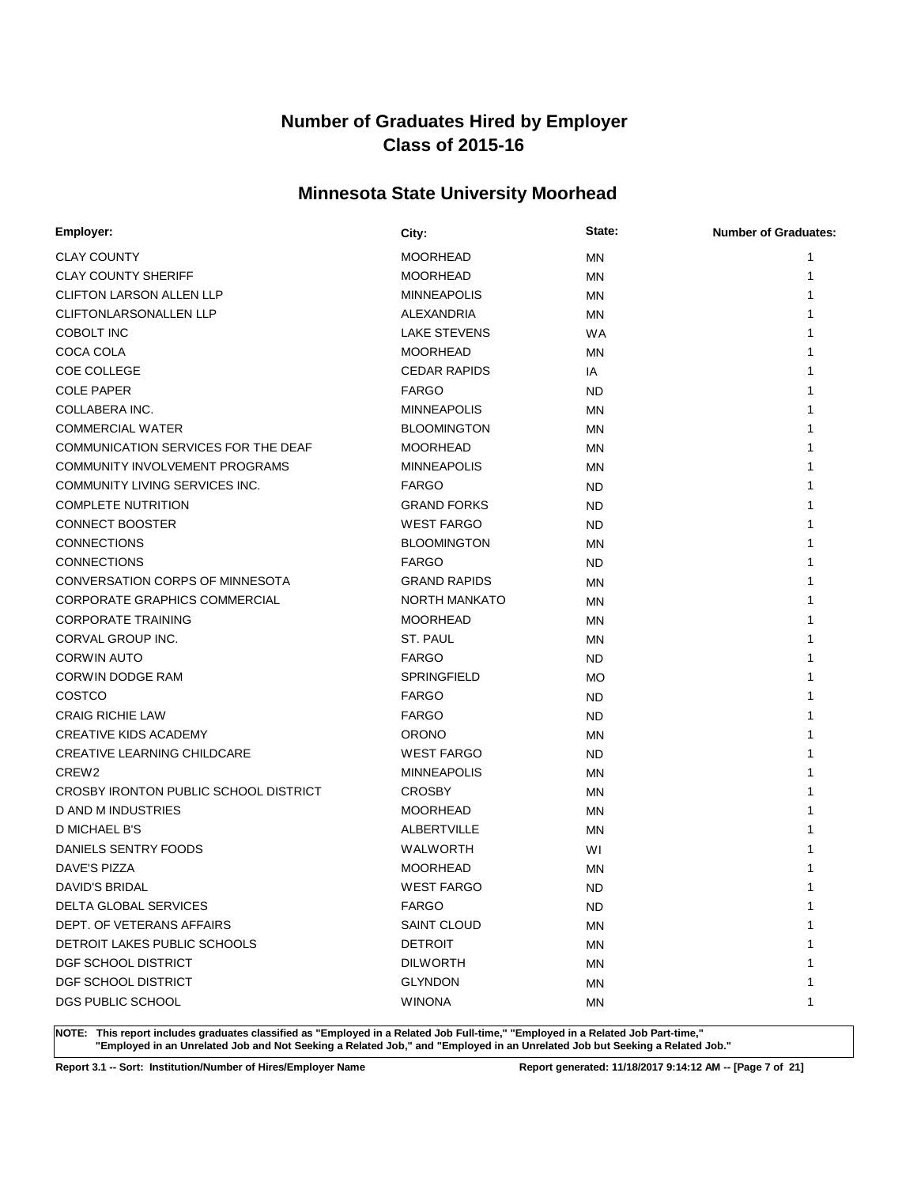# **Minnesota State University Moorhead**

| Employer:                             | City:                | State:    | <b>Number of Graduates:</b> |
|---------------------------------------|----------------------|-----------|-----------------------------|
| <b>CLAY COUNTY</b>                    | <b>MOORHEAD</b>      | <b>MN</b> | 1                           |
| <b>CLAY COUNTY SHERIFF</b>            | <b>MOORHEAD</b>      | MN        | 1                           |
| <b>CLIFTON LARSON ALLEN LLP</b>       | <b>MINNEAPOLIS</b>   | MN        |                             |
| CLIFTONLARSONALLEN LLP                | ALEXANDRIA           | <b>MN</b> |                             |
| COBOLT INC                            | <b>LAKE STEVENS</b>  | <b>WA</b> |                             |
| COCA COLA                             | <b>MOORHEAD</b>      | MN        |                             |
| <b>COE COLLEGE</b>                    | <b>CEDAR RAPIDS</b>  | IA        |                             |
| <b>COLE PAPER</b>                     | <b>FARGO</b>         | ND.       |                             |
| COLLABERA INC.                        | <b>MINNEAPOLIS</b>   | <b>MN</b> |                             |
| <b>COMMERCIAL WATER</b>               | <b>BLOOMINGTON</b>   | MN        |                             |
| COMMUNICATION SERVICES FOR THE DEAF   | <b>MOORHEAD</b>      | MN        |                             |
| COMMUNITY INVOLVEMENT PROGRAMS        | <b>MINNEAPOLIS</b>   | <b>MN</b> |                             |
| COMMUNITY LIVING SERVICES INC.        | <b>FARGO</b>         | <b>ND</b> |                             |
| <b>COMPLETE NUTRITION</b>             | <b>GRAND FORKS</b>   | <b>ND</b> |                             |
| <b>CONNECT BOOSTER</b>                | <b>WEST FARGO</b>    | <b>ND</b> |                             |
| <b>CONNECTIONS</b>                    | <b>BLOOMINGTON</b>   | <b>MN</b> |                             |
| <b>CONNECTIONS</b>                    | <b>FARGO</b>         | <b>ND</b> |                             |
| CONVERSATION CORPS OF MINNESOTA       | <b>GRAND RAPIDS</b>  | <b>MN</b> |                             |
| CORPORATE GRAPHICS COMMERCIAL         | <b>NORTH MANKATO</b> | MN        |                             |
| <b>CORPORATE TRAINING</b>             | <b>MOORHEAD</b>      | <b>MN</b> | 1                           |
| CORVAL GROUP INC.                     | ST. PAUL             | ΜN        | 1                           |
| <b>CORWIN AUTO</b>                    | <b>FARGO</b>         | ND.       | 1                           |
| <b>CORWIN DODGE RAM</b>               | <b>SPRINGFIELD</b>   | <b>MO</b> |                             |
| COSTCO                                | <b>FARGO</b>         | ND.       |                             |
| <b>CRAIG RICHIE LAW</b>               | <b>FARGO</b>         | <b>ND</b> |                             |
| <b>CREATIVE KIDS ACADEMY</b>          | <b>ORONO</b>         | MN        |                             |
| <b>CREATIVE LEARNING CHILDCARE</b>    | <b>WEST FARGO</b>    | ND.       |                             |
| CREW <sub>2</sub>                     | <b>MINNEAPOLIS</b>   | <b>MN</b> |                             |
| CROSBY IRONTON PUBLIC SCHOOL DISTRICT | <b>CROSBY</b>        | <b>MN</b> | 1                           |
| D AND M INDUSTRIES                    | <b>MOORHEAD</b>      | MN        |                             |
| D MICHAEL B'S                         | <b>ALBERTVILLE</b>   | MN        |                             |
| DANIELS SENTRY FOODS                  | WALWORTH             | WI        |                             |
| <b>DAVE'S PIZZA</b>                   | <b>MOORHEAD</b>      | <b>MN</b> |                             |
| DAVID'S BRIDAL                        | <b>WEST FARGO</b>    | <b>ND</b> | 1                           |
| DELTA GLOBAL SERVICES                 | <b>FARGO</b>         | ND.       | 1                           |
| DEPT. OF VETERANS AFFAIRS             | <b>SAINT CLOUD</b>   | <b>MN</b> | 1                           |
| DETROIT LAKES PUBLIC SCHOOLS          | <b>DETROIT</b>       | ΜN        | 1                           |
| DGF SCHOOL DISTRICT                   | <b>DILWORTH</b>      | ΜN        | 1                           |
| DGF SCHOOL DISTRICT                   | <b>GLYNDON</b>       | ΜN        | 1                           |
| DGS PUBLIC SCHOOL                     | <b>WINONA</b>        | MN        | 1                           |

**NOTE: This report includes graduates classified as "Employed in a Related Job Full-time," "Employed in a Related Job Part-time," "Employed in an Unrelated Job and Not Seeking a Related Job," and "Employed in an Unrelated Job but Seeking a Related Job."**

**Report 3.1 -- Sort: Institution/Number of Hires/Employer Name Report generated: 11/18/2017 9:14:12 AM -- [Page 7 of 21]**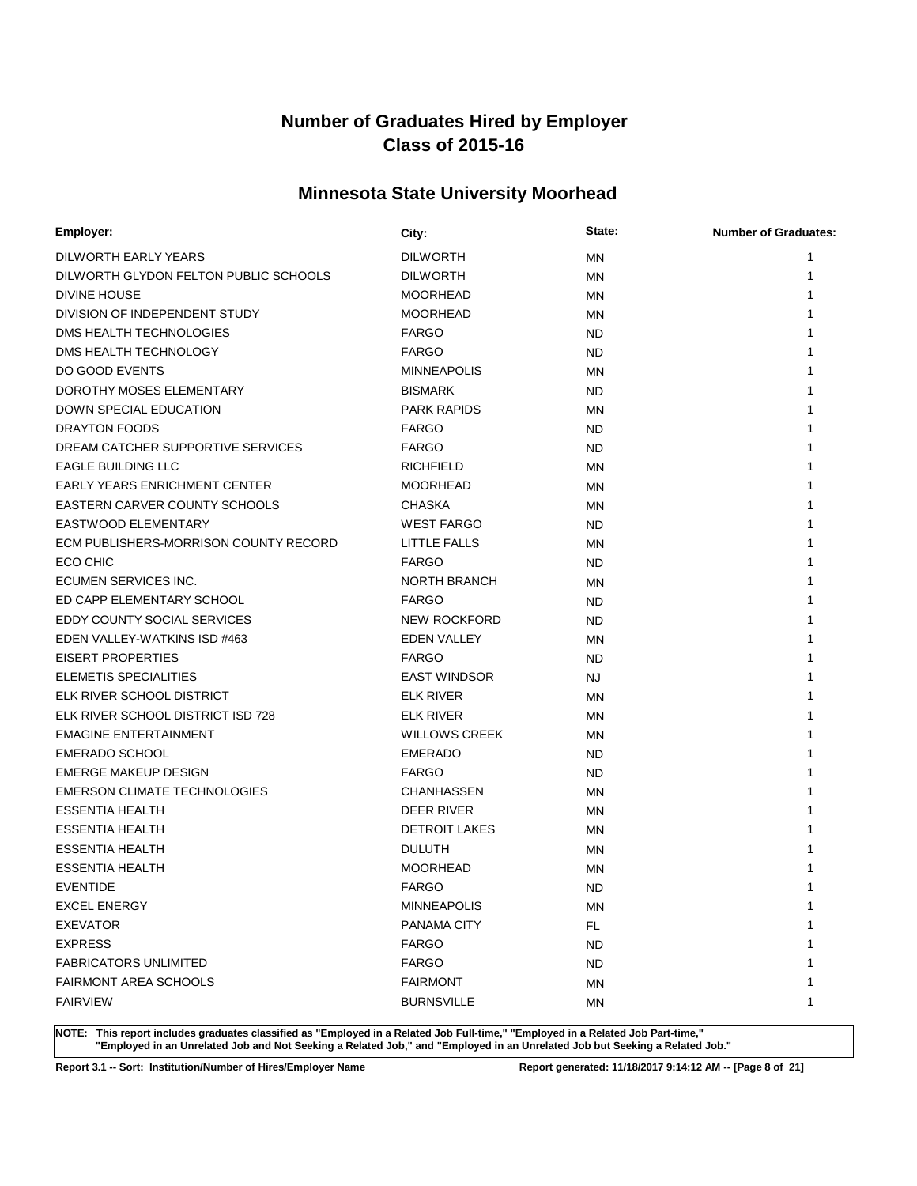# **Minnesota State University Moorhead**

| Employer:                             | City:                | State:    | <b>Number of Graduates:</b> |
|---------------------------------------|----------------------|-----------|-----------------------------|
| DILWORTH EARLY YEARS                  | <b>DILWORTH</b>      | <b>MN</b> | 1                           |
| DILWORTH GLYDON FELTON PUBLIC SCHOOLS | <b>DILWORTH</b>      | MN        | 1                           |
| DIVINE HOUSE                          | <b>MOORHEAD</b>      | MN        |                             |
| DIVISION OF INDEPENDENT STUDY         | <b>MOORHEAD</b>      | <b>MN</b> |                             |
| DMS HEALTH TECHNOLOGIES               | <b>FARGO</b>         | <b>ND</b> |                             |
| DMS HEALTH TECHNOLOGY                 | <b>FARGO</b>         | <b>ND</b> | 1                           |
| DO GOOD EVENTS                        | <b>MINNEAPOLIS</b>   | MN        |                             |
| DOROTHY MOSES ELEMENTARY              | <b>BISMARK</b>       | ND.       |                             |
| DOWN SPECIAL EDUCATION                | <b>PARK RAPIDS</b>   | <b>MN</b> |                             |
| DRAYTON FOODS                         | <b>FARGO</b>         | <b>ND</b> |                             |
| DREAM CATCHER SUPPORTIVE SERVICES     | <b>FARGO</b>         | ND.       |                             |
| <b>EAGLE BUILDING LLC</b>             | <b>RICHFIELD</b>     | MN        |                             |
| <b>EARLY YEARS ENRICHMENT CENTER</b>  | <b>MOORHEAD</b>      | MN        | 1                           |
| EASTERN CARVER COUNTY SCHOOLS         | <b>CHASKA</b>        | ΜN        | 1                           |
| EASTWOOD ELEMENTARY                   | <b>WEST FARGO</b>    | <b>ND</b> | 1                           |
| ECM PUBLISHERS-MORRISON COUNTY RECORD | LITTLE FALLS         | ΜN        |                             |
| ECO CHIC                              | <b>FARGO</b>         | <b>ND</b> |                             |
| ECUMEN SERVICES INC.                  | <b>NORTH BRANCH</b>  | MN        |                             |
| ED CAPP ELEMENTARY SCHOOL             | <b>FARGO</b>         | <b>ND</b> |                             |
| EDDY COUNTY SOCIAL SERVICES           | <b>NEW ROCKFORD</b>  | ND.       |                             |
| EDEN VALLEY-WATKINS ISD #463          | <b>EDEN VALLEY</b>   | <b>MN</b> | 1                           |
| <b>EISERT PROPERTIES</b>              | <b>FARGO</b>         | <b>ND</b> | 1                           |
| ELEMETIS SPECIALITIES                 | <b>EAST WINDSOR</b>  | <b>NJ</b> |                             |
| ELK RIVER SCHOOL DISTRICT             | <b>ELK RIVER</b>     | <b>MN</b> |                             |
| ELK RIVER SCHOOL DISTRICT ISD 728     | <b>ELK RIVER</b>     | <b>MN</b> |                             |
| <b>EMAGINE ENTERTAINMENT</b>          | <b>WILLOWS CREEK</b> | <b>MN</b> |                             |
| <b>EMERADO SCHOOL</b>                 | <b>EMERADO</b>       | ND.       |                             |
| <b>EMERGE MAKEUP DESIGN</b>           | <b>FARGO</b>         | ND.       |                             |
| <b>EMERSON CLIMATE TECHNOLOGIES</b>   | <b>CHANHASSEN</b>    | <b>MN</b> |                             |
| <b>ESSENTIA HEALTH</b>                | DEER RIVER           | <b>MN</b> |                             |
| <b>ESSENTIA HEALTH</b>                | <b>DETROIT LAKES</b> | <b>MN</b> |                             |
| <b>ESSENTIA HEALTH</b>                | <b>DULUTH</b>        | <b>MN</b> |                             |
| <b>ESSENTIA HEALTH</b>                | <b>MOORHEAD</b>      | <b>MN</b> |                             |
| <b>EVENTIDE</b>                       | <b>FARGO</b>         | <b>ND</b> | 1                           |
| <b>EXCEL ENERGY</b>                   | <b>MINNEAPOLIS</b>   | ΜN        | 1                           |
| <b>EXEVATOR</b>                       | PANAMA CITY          | FL.       |                             |
| <b>EXPRESS</b>                        | <b>FARGO</b>         | <b>ND</b> |                             |
| <b>FABRICATORS UNLIMITED</b>          | <b>FARGO</b>         | ND.       |                             |
| <b>FAIRMONT AREA SCHOOLS</b>          | <b>FAIRMONT</b>      | ΜN        | 1                           |
| <b>FAIRVIEW</b>                       | <b>BURNSVILLE</b>    | ΜN        | 1                           |

**NOTE: This report includes graduates classified as "Employed in a Related Job Full-time," "Employed in a Related Job Part-time," "Employed in an Unrelated Job and Not Seeking a Related Job," and "Employed in an Unrelated Job but Seeking a Related Job."**

**Report 3.1 -- Sort: Institution/Number of Hires/Employer Name Report generated: 11/18/2017 9:14:12 AM -- [Page 8 of 21]**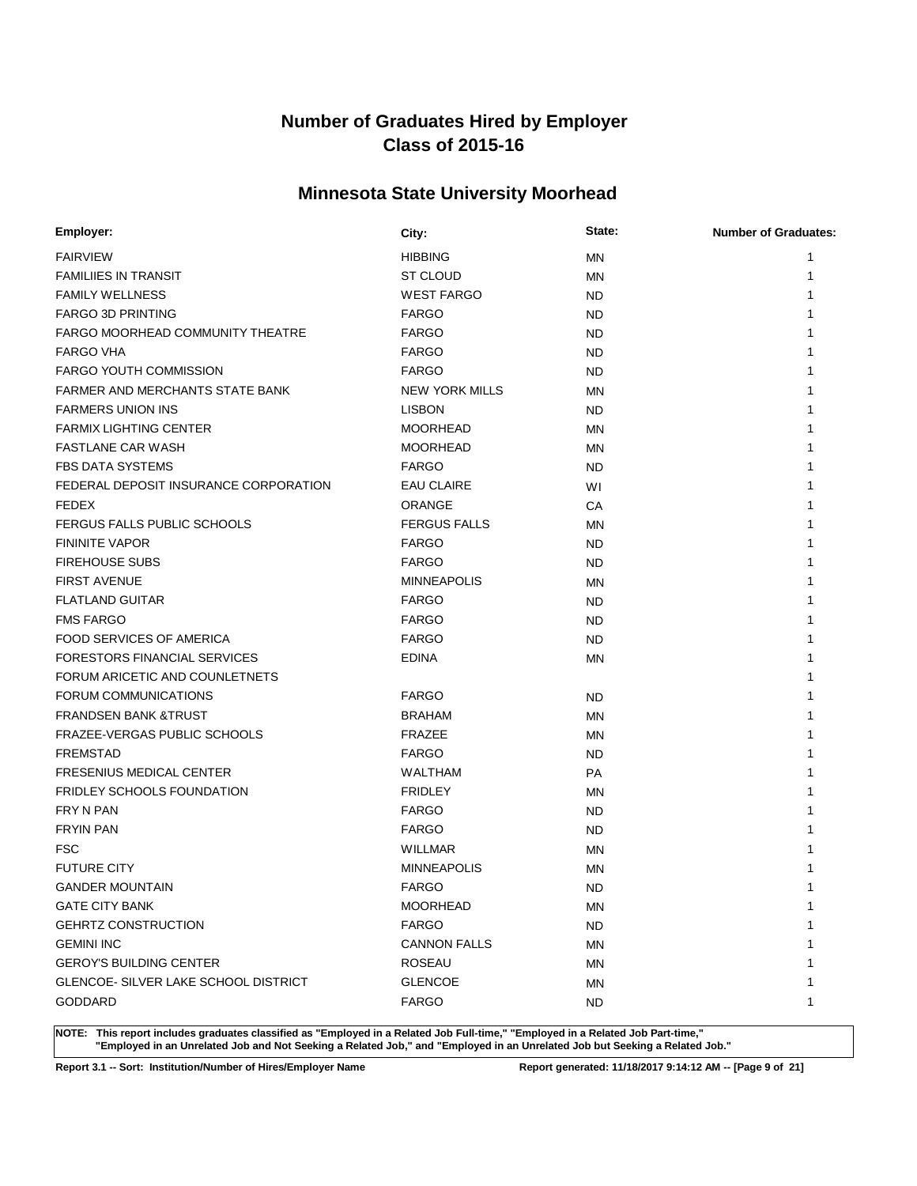# **Minnesota State University Moorhead**

| Employer:                                   | City:                 | State:    | <b>Number of Graduates:</b> |
|---------------------------------------------|-----------------------|-----------|-----------------------------|
| <b>FAIRVIEW</b>                             | <b>HIBBING</b>        | <b>MN</b> | 1                           |
| <b>FAMILIIES IN TRANSIT</b>                 | <b>ST CLOUD</b>       | <b>MN</b> | 1                           |
| <b>FAMILY WELLNESS</b>                      | <b>WEST FARGO</b>     | <b>ND</b> |                             |
| <b>FARGO 3D PRINTING</b>                    | <b>FARGO</b>          | ND.       |                             |
| FARGO MOORHEAD COMMUNITY THEATRE            | <b>FARGO</b>          | <b>ND</b> |                             |
| <b>FARGO VHA</b>                            | <b>FARGO</b>          | <b>ND</b> | 1                           |
| <b>FARGO YOUTH COMMISSION</b>               | <b>FARGO</b>          | <b>ND</b> |                             |
| <b>FARMER AND MERCHANTS STATE BANK</b>      | <b>NEW YORK MILLS</b> | MN        |                             |
| <b>FARMERS UNION INS</b>                    | <b>LISBON</b>         | ND.       |                             |
| <b>FARMIX LIGHTING CENTER</b>               | <b>MOORHEAD</b>       | ΜN        |                             |
| <b>FASTLANE CAR WASH</b>                    | <b>MOORHEAD</b>       | <b>MN</b> |                             |
| <b>FBS DATA SYSTEMS</b>                     | <b>FARGO</b>          | ND.       |                             |
| FEDERAL DEPOSIT INSURANCE CORPORATION       | <b>EAU CLAIRE</b>     | WI        | 1                           |
| <b>FEDEX</b>                                | <b>ORANGE</b>         | СA        | 1                           |
| FERGUS FALLS PUBLIC SCHOOLS                 | <b>FERGUS FALLS</b>   | ΜN        | 1                           |
| <b>FININITE VAPOR</b>                       | <b>FARGO</b>          | ND.       |                             |
| <b>FIREHOUSE SUBS</b>                       | <b>FARGO</b>          | <b>ND</b> |                             |
| <b>FIRST AVENUE</b>                         | <b>MINNEAPOLIS</b>    | MN        | 1                           |
| <b>FLATLAND GUITAR</b>                      | <b>FARGO</b>          | <b>ND</b> |                             |
| <b>FMS FARGO</b>                            | <b>FARGO</b>          | ND.       |                             |
| <b>FOOD SERVICES OF AMERICA</b>             | <b>FARGO</b>          | ND.       | 1                           |
| <b>FORESTORS FINANCIAL SERVICES</b>         | <b>EDINA</b>          | ΜN        | 1                           |
| FORUM ARICETIC AND COUNLETNETS              |                       |           |                             |
| FORUM COMMUNICATIONS                        | <b>FARGO</b>          | ND.       |                             |
| <b>FRANDSEN BANK &amp;TRUST</b>             | <b>BRAHAM</b>         | <b>MN</b> |                             |
| FRAZEE-VERGAS PUBLIC SCHOOLS                | <b>FRAZEE</b>         | <b>MN</b> |                             |
| <b>FREMSTAD</b>                             | <b>FARGO</b>          | ND.       |                             |
| <b>FRESENIUS MEDICAL CENTER</b>             | <b>WALTHAM</b>        | <b>PA</b> |                             |
| <b>FRIDLEY SCHOOLS FOUNDATION</b>           | <b>FRIDLEY</b>        | <b>MN</b> |                             |
| FRY N PAN                                   | <b>FARGO</b>          | <b>ND</b> |                             |
| <b>FRYIN PAN</b>                            | <b>FARGO</b>          | <b>ND</b> |                             |
| <b>FSC</b>                                  | <b>WILLMAR</b>        | <b>MN</b> |                             |
| <b>FUTURE CITY</b>                          | <b>MINNEAPOLIS</b>    | <b>MN</b> |                             |
| <b>GANDER MOUNTAIN</b>                      | <b>FARGO</b>          | <b>ND</b> | 1                           |
| <b>GATE CITY BANK</b>                       | <b>MOORHEAD</b>       | ΜN        | 1                           |
| <b>GEHRTZ CONSTRUCTION</b>                  | <b>FARGO</b>          | <b>ND</b> | 1                           |
| <b>GEMINI INC</b>                           | <b>CANNON FALLS</b>   | ΜN        |                             |
| <b>GEROY'S BUILDING CENTER</b>              | <b>ROSEAU</b>         | ΜN        |                             |
| <b>GLENCOE- SILVER LAKE SCHOOL DISTRICT</b> | <b>GLENCOE</b>        | ΜN        | 1                           |
| <b>GODDARD</b>                              | <b>FARGO</b>          | ND.       | 1                           |

**NOTE: This report includes graduates classified as "Employed in a Related Job Full-time," "Employed in a Related Job Part-time," "Employed in an Unrelated Job and Not Seeking a Related Job," and "Employed in an Unrelated Job but Seeking a Related Job."**

**Report 3.1 -- Sort: Institution/Number of Hires/Employer Name Report generated: 11/18/2017 9:14:12 AM -- [Page 9 of 21]**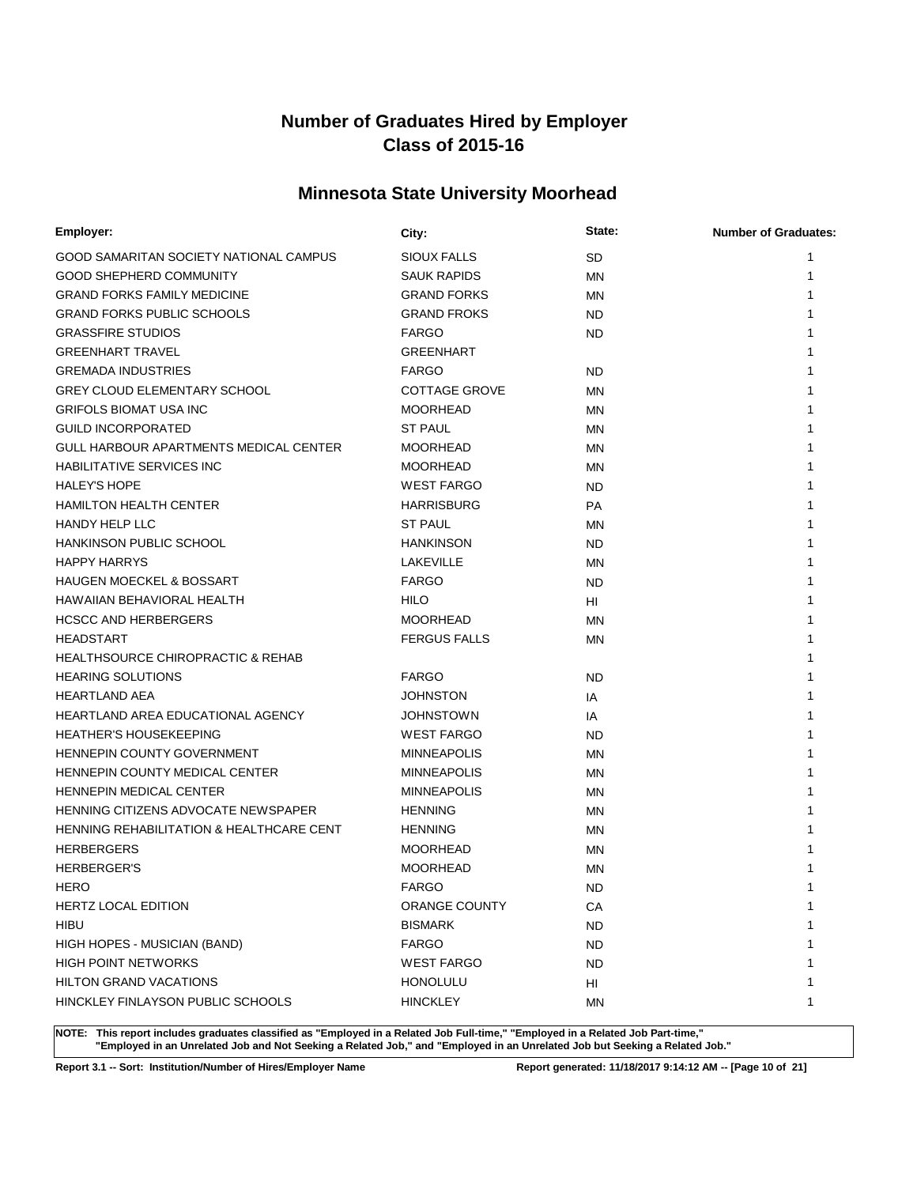# **Minnesota State University Moorhead**

| Employer:                                     | City:                | State:    | <b>Number of Graduates:</b> |
|-----------------------------------------------|----------------------|-----------|-----------------------------|
| GOOD SAMARITAN SOCIETY NATIONAL CAMPUS        | SIOUX FALLS          | <b>SD</b> | 1                           |
| <b>GOOD SHEPHERD COMMUNITY</b>                | <b>SAUK RAPIDS</b>   | <b>MN</b> | 1                           |
| <b>GRAND FORKS FAMILY MEDICINE</b>            | <b>GRAND FORKS</b>   | MN        |                             |
| <b>GRAND FORKS PUBLIC SCHOOLS</b>             | <b>GRAND FROKS</b>   | <b>ND</b> |                             |
| <b>GRASSFIRE STUDIOS</b>                      | <b>FARGO</b>         | <b>ND</b> |                             |
| <b>GREENHART TRAVEL</b>                       | GREENHART            |           |                             |
| <b>GREMADA INDUSTRIES</b>                     | <b>FARGO</b>         | <b>ND</b> |                             |
| <b>GREY CLOUD ELEMENTARY SCHOOL</b>           | <b>COTTAGE GROVE</b> | <b>MN</b> |                             |
| <b>GRIFOLS BIOMAT USA INC</b>                 | <b>MOORHEAD</b>      | <b>MN</b> |                             |
| <b>GUILD INCORPORATED</b>                     | <b>ST PAUL</b>       | <b>MN</b> |                             |
| <b>GULL HARBOUR APARTMENTS MEDICAL CENTER</b> | <b>MOORHEAD</b>      | MN        |                             |
| <b>HABILITATIVE SERVICES INC</b>              | <b>MOORHEAD</b>      | <b>MN</b> |                             |
| <b>HALEY'S HOPE</b>                           | <b>WEST FARGO</b>    | <b>ND</b> |                             |
| <b>HAMILTON HEALTH CENTER</b>                 | <b>HARRISBURG</b>    | <b>PA</b> |                             |
| <b>HANDY HELP LLC</b>                         | <b>ST PAUL</b>       | <b>MN</b> |                             |
| <b>HANKINSON PUBLIC SCHOOL</b>                | <b>HANKINSON</b>     | <b>ND</b> |                             |
| <b>HAPPY HARRYS</b>                           | <b>LAKEVILLE</b>     | <b>MN</b> |                             |
| <b>HAUGEN MOECKEL &amp; BOSSART</b>           | <b>FARGO</b>         | <b>ND</b> |                             |
| HAWAIIAN BEHAVIORAL HEALTH                    | <b>HILO</b>          | HI        |                             |
| <b>HCSCC AND HERBERGERS</b>                   | <b>MOORHEAD</b>      | <b>MN</b> |                             |
| <b>HEADSTART</b>                              | <b>FERGUS FALLS</b>  | <b>MN</b> |                             |
| <b>HEALTHSOURCE CHIROPRACTIC &amp; REHAB</b>  |                      |           |                             |
| <b>HEARING SOLUTIONS</b>                      | <b>FARGO</b>         | <b>ND</b> |                             |
| <b>HEARTLAND AEA</b>                          | <b>JOHNSTON</b>      | IA        |                             |
| HEARTLAND AREA EDUCATIONAL AGENCY             | <b>JOHNSTOWN</b>     | IA        |                             |
| <b>HEATHER'S HOUSEKEEPING</b>                 | <b>WEST FARGO</b>    | <b>ND</b> |                             |
| <b>HENNEPIN COUNTY GOVERNMENT</b>             | <b>MINNEAPOLIS</b>   | MN        |                             |
| HENNEPIN COUNTY MEDICAL CENTER                | <b>MINNEAPOLIS</b>   | <b>MN</b> |                             |
| <b>HENNEPIN MEDICAL CENTER</b>                | <b>MINNEAPOLIS</b>   | MN        |                             |
| HENNING CITIZENS ADVOCATE NEWSPAPER           | <b>HENNING</b>       | MN        |                             |
| HENNING REHABILITATION & HEALTHCARE CENT      | <b>HENNING</b>       | MN        |                             |
| <b>HERBERGERS</b>                             | MOORHEAD             | <b>MN</b> |                             |
| <b>HERBERGER'S</b>                            | <b>MOORHEAD</b>      | ΜN        |                             |
| <b>HERO</b>                                   | <b>FARGO</b>         | <b>ND</b> | 1                           |
| <b>HERTZ LOCAL EDITION</b>                    | ORANGE COUNTY        | CA        | 1                           |
| <b>HIBU</b>                                   | <b>BISMARK</b>       | <b>ND</b> |                             |
| HIGH HOPES - MUSICIAN (BAND)                  | <b>FARGO</b>         | <b>ND</b> |                             |
| <b>HIGH POINT NETWORKS</b>                    | <b>WEST FARGO</b>    | <b>ND</b> |                             |
| <b>HILTON GRAND VACATIONS</b>                 | <b>HONOLULU</b>      | HI        |                             |
| HINCKLEY FINLAYSON PUBLIC SCHOOLS             | <b>HINCKLEY</b>      | MN        | 1                           |

**NOTE: This report includes graduates classified as "Employed in a Related Job Full-time," "Employed in a Related Job Part-time," "Employed in an Unrelated Job and Not Seeking a Related Job," and "Employed in an Unrelated Job but Seeking a Related Job."**

**Report 3.1 -- Sort: Institution/Number of Hires/Employer Name Report generated: 11/18/2017 9:14:12 AM -- [Page 10 of 21]**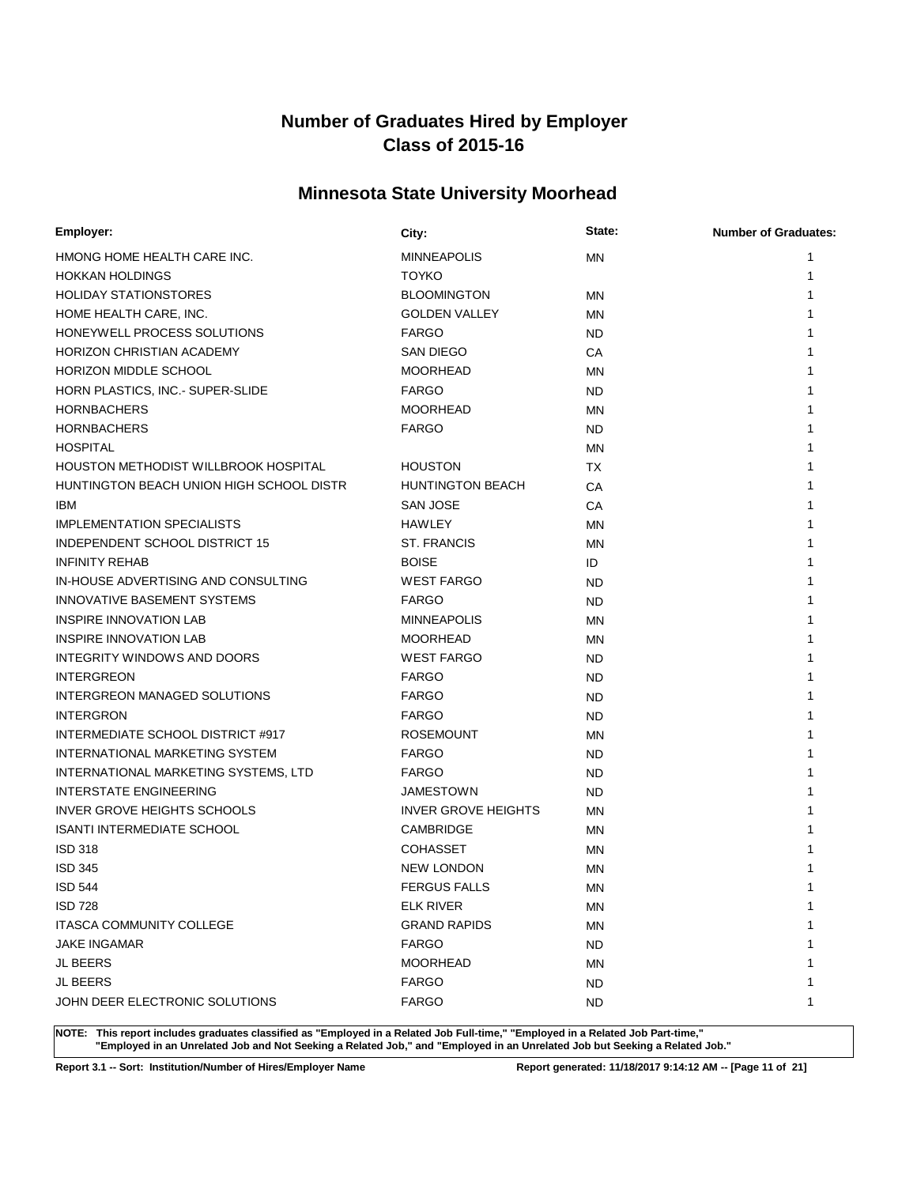# **Minnesota State University Moorhead**

| Employer:                                | City:                      | State:    | <b>Number of Graduates:</b> |
|------------------------------------------|----------------------------|-----------|-----------------------------|
| HMONG HOME HEALTH CARE INC.              | <b>MINNEAPOLIS</b>         | <b>MN</b> | 1                           |
| <b>HOKKAN HOLDINGS</b>                   | <b>TOYKO</b>               |           | 1                           |
| <b>HOLIDAY STATIONSTORES</b>             | <b>BLOOMINGTON</b>         | MN        |                             |
| HOME HEALTH CARE, INC.                   | <b>GOLDEN VALLEY</b>       | <b>MN</b> |                             |
| HONEYWELL PROCESS SOLUTIONS              | <b>FARGO</b>               | <b>ND</b> |                             |
| HORIZON CHRISTIAN ACADEMY                | SAN DIEGO                  | СA        |                             |
| HORIZON MIDDLE SCHOOL                    | <b>MOORHEAD</b>            | <b>MN</b> |                             |
| HORN PLASTICS, INC.- SUPER-SLIDE         | <b>FARGO</b>               | <b>ND</b> |                             |
| <b>HORNBACHERS</b>                       | <b>MOORHEAD</b>            | MN        |                             |
| <b>HORNBACHERS</b>                       | <b>FARGO</b>               | <b>ND</b> |                             |
| <b>HOSPITAL</b>                          |                            | <b>MN</b> |                             |
| HOUSTON METHODIST WILLBROOK HOSPITAL     | <b>HOUSTON</b>             | ТX        |                             |
| HUNTINGTON BEACH UNION HIGH SCHOOL DISTR | <b>HUNTINGTON BEACH</b>    | CA        |                             |
| IBM                                      | SAN JOSE                   | CA        |                             |
| <b>IMPLEMENTATION SPECIALISTS</b>        | HAWLEY                     | MN        |                             |
| INDEPENDENT SCHOOL DISTRICT 15           | <b>ST. FRANCIS</b>         | MN        |                             |
| <b>INFINITY REHAB</b>                    | <b>BOISE</b>               | ID        |                             |
| IN-HOUSE ADVERTISING AND CONSULTING      | <b>WEST FARGO</b>          | <b>ND</b> |                             |
| INNOVATIVE BASEMENT SYSTEMS              | <b>FARGO</b>               | <b>ND</b> |                             |
| <b>INSPIRE INNOVATION LAB</b>            | <b>MINNEAPOLIS</b>         | <b>MN</b> |                             |
| <b>INSPIRE INNOVATION LAB</b>            | <b>MOORHEAD</b>            | MN        |                             |
| INTEGRITY WINDOWS AND DOORS              | <b>WEST FARGO</b>          | <b>ND</b> |                             |
| <b>INTERGREON</b>                        | <b>FARGO</b>               | <b>ND</b> |                             |
| INTERGREON MANAGED SOLUTIONS             | <b>FARGO</b>               | <b>ND</b> |                             |
| <b>INTERGRON</b>                         | <b>FARGO</b>               | <b>ND</b> |                             |
| INTERMEDIATE SCHOOL DISTRICT #917        | <b>ROSEMOUNT</b>           | <b>MN</b> |                             |
| INTERNATIONAL MARKETING SYSTEM           | <b>FARGO</b>               | <b>ND</b> |                             |
| INTERNATIONAL MARKETING SYSTEMS, LTD     | <b>FARGO</b>               | <b>ND</b> |                             |
| <b>INTERSTATE ENGINEERING</b>            | JAMESTOWN                  | ND        |                             |
| <b>INVER GROVE HEIGHTS SCHOOLS</b>       | <b>INVER GROVE HEIGHTS</b> | MN        |                             |
| <b>ISANTI INTERMEDIATE SCHOOL</b>        | CAMBRIDGE                  | MN        |                             |
| <b>ISD 318</b>                           | <b>COHASSET</b>            | <b>MN</b> |                             |
| <b>ISD 345</b>                           | <b>NEW LONDON</b>          | <b>MN</b> |                             |
| <b>ISD 544</b>                           | FERGUS FALLS               | MN        | 1                           |
| <b>ISD 728</b>                           | <b>ELK RIVER</b>           | ΜN        | 1                           |
| ITASCA COMMUNITY COLLEGE                 | <b>GRAND RAPIDS</b>        | <b>MN</b> |                             |
| <b>JAKE INGAMAR</b>                      | <b>FARGO</b>               | <b>ND</b> |                             |
| JL BEERS                                 | <b>MOORHEAD</b>            | <b>MN</b> |                             |
| JL BEERS                                 | <b>FARGO</b>               | <b>ND</b> |                             |
| JOHN DEER ELECTRONIC SOLUTIONS           | <b>FARGO</b>               | <b>ND</b> | 1                           |

**NOTE: This report includes graduates classified as "Employed in a Related Job Full-time," "Employed in a Related Job Part-time," "Employed in an Unrelated Job and Not Seeking a Related Job," and "Employed in an Unrelated Job but Seeking a Related Job."**

**Report 3.1 -- Sort: Institution/Number of Hires/Employer Name Report generated: 11/18/2017 9:14:12 AM -- [Page 11 of 21]**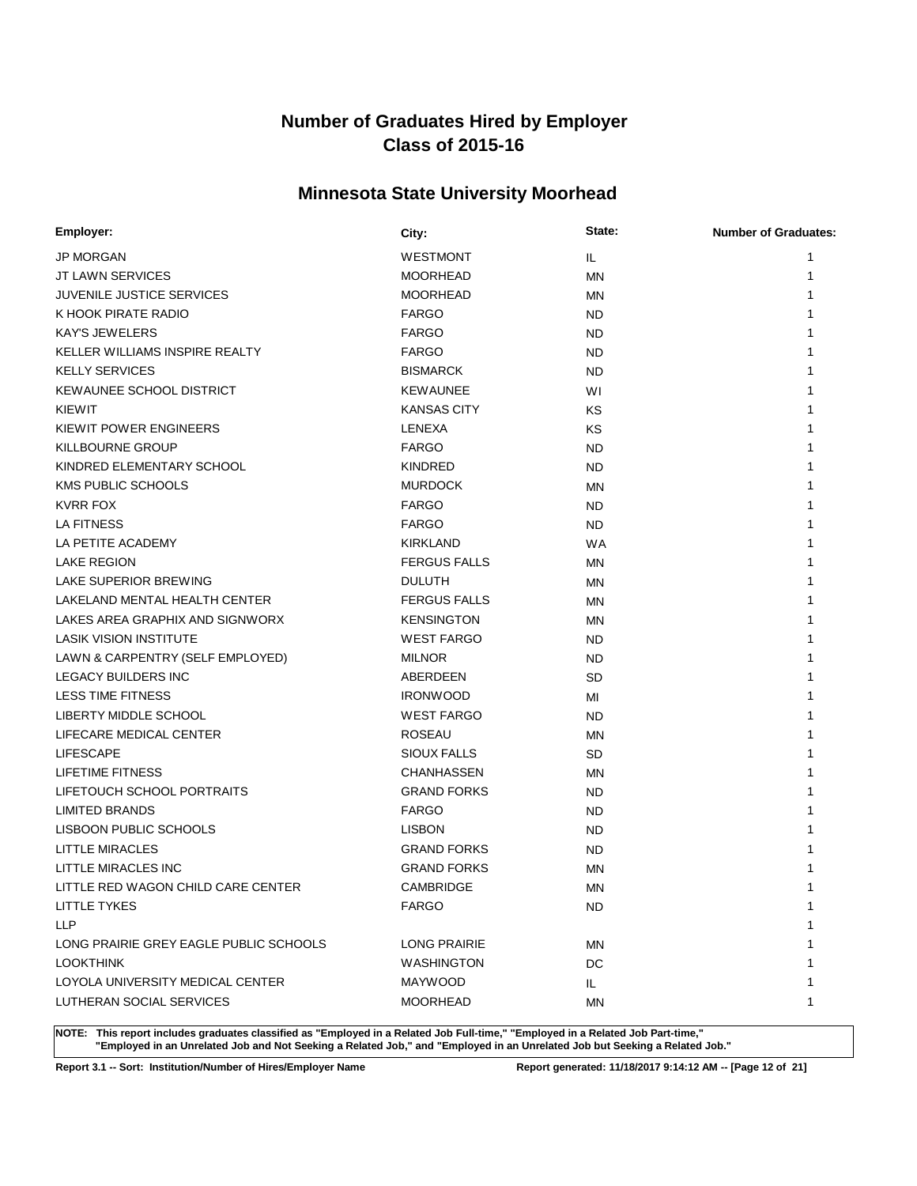# **Minnesota State University Moorhead**

| Employer:                              | City:               | State:    | <b>Number of Graduates:</b> |
|----------------------------------------|---------------------|-----------|-----------------------------|
| <b>JP MORGAN</b>                       | <b>WESTMONT</b>     | IL.       | 1                           |
| <b>JT LAWN SERVICES</b>                | <b>MOORHEAD</b>     | <b>MN</b> | 1                           |
| JUVENILE JUSTICE SERVICES              | <b>MOORHEAD</b>     | MN        | 1                           |
| K HOOK PIRATE RADIO                    | <b>FARGO</b>        | <b>ND</b> | 1                           |
| <b>KAY'S JEWELERS</b>                  | <b>FARGO</b>        | <b>ND</b> | 1                           |
| KELLER WILLIAMS INSPIRE REALTY         | <b>FARGO</b>        | ND.       |                             |
| <b>KELLY SERVICES</b>                  | <b>BISMARCK</b>     | <b>ND</b> |                             |
| KEWAUNEE SCHOOL DISTRICT               | <b>KEWAUNEE</b>     | WI        |                             |
| KIEWIT                                 | <b>KANSAS CITY</b>  | KS        |                             |
| KIEWIT POWER ENGINEERS                 | LENEXA              | KS        |                             |
| <b>KILLBOURNE GROUP</b>                | <b>FARGO</b>        | <b>ND</b> |                             |
| KINDRED ELEMENTARY SCHOOL              | <b>KINDRED</b>      | <b>ND</b> |                             |
| <b>KMS PUBLIC SCHOOLS</b>              | <b>MURDOCK</b>      | <b>MN</b> |                             |
| <b>KVRR FOX</b>                        | <b>FARGO</b>        | <b>ND</b> |                             |
| LA FITNESS                             | <b>FARGO</b>        | <b>ND</b> |                             |
| LA PETITE ACADEMY                      | <b>KIRKLAND</b>     | <b>WA</b> |                             |
| <b>LAKE REGION</b>                     | <b>FERGUS FALLS</b> | MN        |                             |
| LAKE SUPERIOR BREWING                  | <b>DULUTH</b>       | MN        |                             |
| LAKELAND MENTAL HEALTH CENTER          | <b>FERGUS FALLS</b> | <b>MN</b> |                             |
| LAKES AREA GRAPHIX AND SIGNWORX        | <b>KENSINGTON</b>   | MN        | 1                           |
| <b>LASIK VISION INSTITUTE</b>          | <b>WEST FARGO</b>   | <b>ND</b> | 1                           |
| LAWN & CARPENTRY (SELF EMPLOYED)       | <b>MILNOR</b>       | <b>ND</b> |                             |
| <b>LEGACY BUILDERS INC</b>             | ABERDEEN            | <b>SD</b> |                             |
| <b>LESS TIME FITNESS</b>               | <b>IRONWOOD</b>     | MI        |                             |
| LIBERTY MIDDLE SCHOOL                  | <b>WEST FARGO</b>   | <b>ND</b> |                             |
| LIFECARE MEDICAL CENTER                | <b>ROSEAU</b>       | MN        |                             |
| <b>LIFESCAPE</b>                       | <b>SIOUX FALLS</b>  | <b>SD</b> | 1                           |
| LIFETIME FITNESS                       | <b>CHANHASSEN</b>   | MN        | 1                           |
| LIFETOUCH SCHOOL PORTRAITS             | <b>GRAND FORKS</b>  | <b>ND</b> | 1                           |
| <b>LIMITED BRANDS</b>                  | <b>FARGO</b>        | <b>ND</b> |                             |
| LISBOON PUBLIC SCHOOLS                 | <b>LISBON</b>       | <b>ND</b> |                             |
| LITTLE MIRACLES                        | <b>GRAND FORKS</b>  | <b>ND</b> |                             |
| LITTLE MIRACLES INC                    | <b>GRAND FORKS</b>  | <b>MN</b> |                             |
| LITTLE RED WAGON CHILD CARE CENTER     | CAMBRIDGE           | ΜN        | 1                           |
| <b>LITTLE TYKES</b>                    | <b>FARGO</b>        | <b>ND</b> | 1                           |
| <b>LLP</b>                             |                     |           | 1                           |
| LONG PRAIRIE GREY EAGLE PUBLIC SCHOOLS | <b>LONG PRAIRIE</b> | ΜN        | 1                           |
| <b>LOOKTHINK</b>                       | <b>WASHINGTON</b>   | DC        |                             |
| LOYOLA UNIVERSITY MEDICAL CENTER       | <b>MAYWOOD</b>      | IL.       | 1                           |
| LUTHERAN SOCIAL SERVICES               | <b>MOORHEAD</b>     | ΜN        | 1                           |

**NOTE: This report includes graduates classified as "Employed in a Related Job Full-time," "Employed in a Related Job Part-time," "Employed in an Unrelated Job and Not Seeking a Related Job," and "Employed in an Unrelated Job but Seeking a Related Job."**

**Report 3.1 -- Sort: Institution/Number of Hires/Employer Name Report generated: 11/18/2017 9:14:12 AM -- [Page 12 of 21]**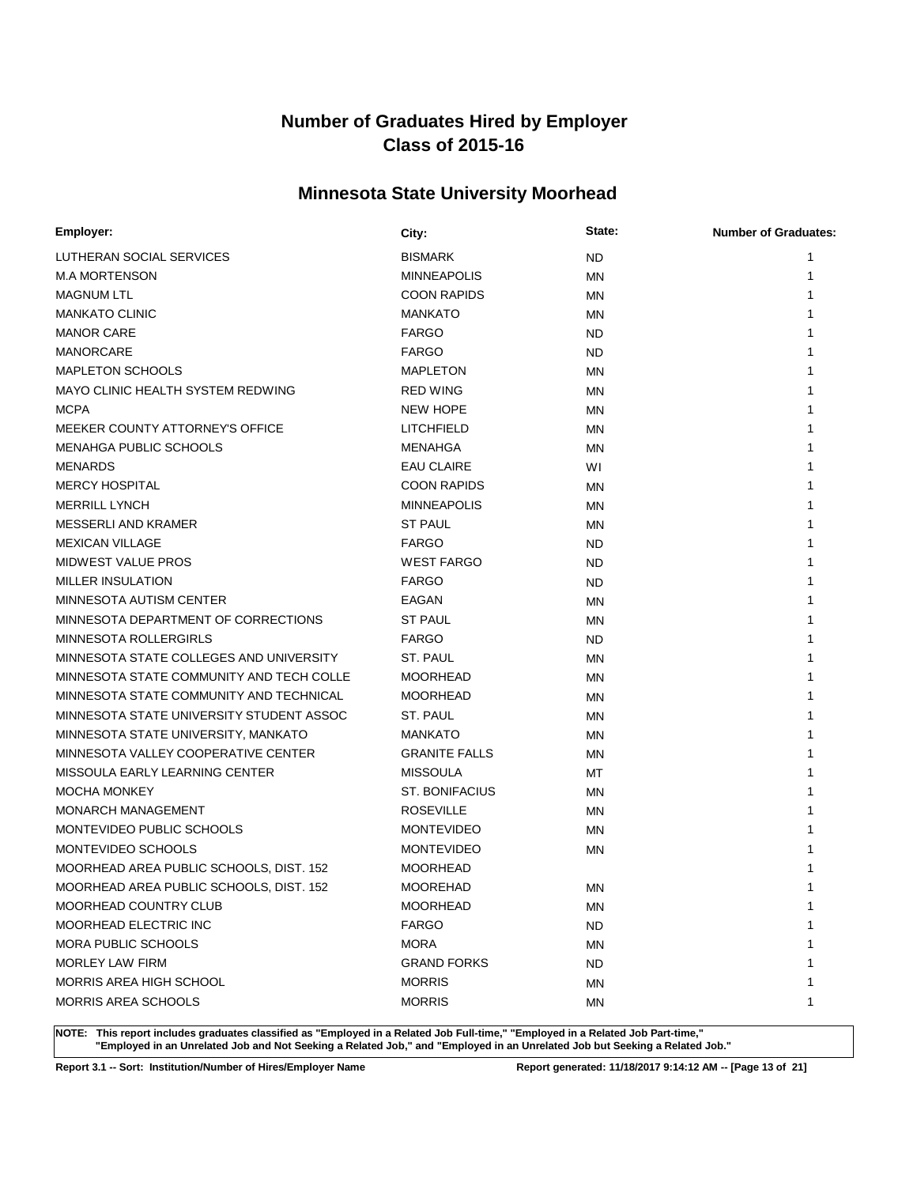# **Minnesota State University Moorhead**

| Employer:                                | City:                 | State:    | <b>Number of Graduates:</b> |
|------------------------------------------|-----------------------|-----------|-----------------------------|
| LUTHERAN SOCIAL SERVICES                 | <b>BISMARK</b>        | <b>ND</b> | 1                           |
| <b>M.A MORTENSON</b>                     | <b>MINNEAPOLIS</b>    | MN        | 1                           |
| <b>MAGNUM LTL</b>                        | <b>COON RAPIDS</b>    | MN        |                             |
| <b>MANKATO CLINIC</b>                    | <b>MANKATO</b>        | <b>MN</b> |                             |
| <b>MANOR CARE</b>                        | <b>FARGO</b>          | <b>ND</b> |                             |
| <b>MANORCARE</b>                         | <b>FARGO</b>          | <b>ND</b> |                             |
| <b>MAPLETON SCHOOLS</b>                  | <b>MAPLETON</b>       | MN        |                             |
| MAYO CLINIC HEALTH SYSTEM REDWING        | <b>RED WING</b>       | <b>MN</b> |                             |
| <b>MCPA</b>                              | <b>NEW HOPE</b>       | MN        |                             |
| MEEKER COUNTY ATTORNEY'S OFFICE          | <b>LITCHFIELD</b>     | ΜN        |                             |
| MENAHGA PUBLIC SCHOOLS                   | MENAHGA               | MN        |                             |
| <b>MENARDS</b>                           | <b>EAU CLAIRE</b>     | WI        |                             |
| <b>MERCY HOSPITAL</b>                    | <b>COON RAPIDS</b>    | <b>MN</b> |                             |
| <b>MERRILL LYNCH</b>                     | <b>MINNEAPOLIS</b>    | ΜN        | 1                           |
| MESSERLI AND KRAMER                      | <b>ST PAUL</b>        | <b>MN</b> | 1                           |
| <b>MEXICAN VILLAGE</b>                   | <b>FARGO</b>          | ND.       |                             |
| <b>MIDWEST VALUE PROS</b>                | <b>WEST FARGO</b>     | <b>ND</b> |                             |
| <b>MILLER INSULATION</b>                 | <b>FARGO</b>          | ND        |                             |
| MINNESOTA AUTISM CENTER                  | EAGAN                 | <b>MN</b> |                             |
| MINNESOTA DEPARTMENT OF CORRECTIONS      | <b>ST PAUL</b>        | ΜN        |                             |
| <b>MINNESOTA ROLLERGIRLS</b>             | <b>FARGO</b>          | ND.       | 1                           |
| MINNESOTA STATE COLLEGES AND UNIVERSITY  | ST. PAUL              | MN        |                             |
| MINNESOTA STATE COMMUNITY AND TECH COLLE | <b>MOORHEAD</b>       | <b>MN</b> |                             |
| MINNESOTA STATE COMMUNITY AND TECHNICAL  | <b>MOORHEAD</b>       | <b>MN</b> |                             |
| MINNESOTA STATE UNIVERSITY STUDENT ASSOC | ST. PAUL              | <b>MN</b> |                             |
| MINNESOTA STATE UNIVERSITY, MANKATO      | <b>MANKATO</b>        | MN        |                             |
| MINNESOTA VALLEY COOPERATIVE CENTER      | <b>GRANITE FALLS</b>  | MN.       |                             |
| MISSOULA EARLY LEARNING CENTER           | <b>MISSOULA</b>       | МT        |                             |
| <b>MOCHA MONKEY</b>                      | <b>ST. BONIFACIUS</b> | <b>MN</b> |                             |
| <b>MONARCH MANAGEMENT</b>                | <b>ROSEVILLE</b>      | MN        |                             |
| MONTEVIDEO PUBLIC SCHOOLS                | <b>MONTEVIDEO</b>     | <b>MN</b> |                             |
| MONTEVIDEO SCHOOLS                       | <b>MONTEVIDEO</b>     | MN        |                             |
| MOORHEAD AREA PUBLIC SCHOOLS, DIST. 152  | <b>MOORHEAD</b>       |           |                             |
| MOORHEAD AREA PUBLIC SCHOOLS, DIST. 152  | <b>MOOREHAD</b>       | <b>MN</b> | 1                           |
| MOORHEAD COUNTRY CLUB                    | <b>MOORHEAD</b>       | ΜN        | 1                           |
| MOORHEAD ELECTRIC INC                    | <b>FARGO</b>          | <b>ND</b> |                             |
| <b>MORA PUBLIC SCHOOLS</b>               | <b>MORA</b>           | MN        |                             |
| <b>MORLEY LAW FIRM</b>                   | <b>GRAND FORKS</b>    | <b>ND</b> |                             |
| MORRIS AREA HIGH SCHOOL                  | <b>MORRIS</b>         | ΜN        |                             |
| MORRIS AREA SCHOOLS                      | <b>MORRIS</b>         | ΜN        | 1                           |

**NOTE: This report includes graduates classified as "Employed in a Related Job Full-time," "Employed in a Related Job Part-time," "Employed in an Unrelated Job and Not Seeking a Related Job," and "Employed in an Unrelated Job but Seeking a Related Job."**

**Report 3.1 -- Sort: Institution/Number of Hires/Employer Name Report generated: 11/18/2017 9:14:12 AM -- [Page 13 of 21]**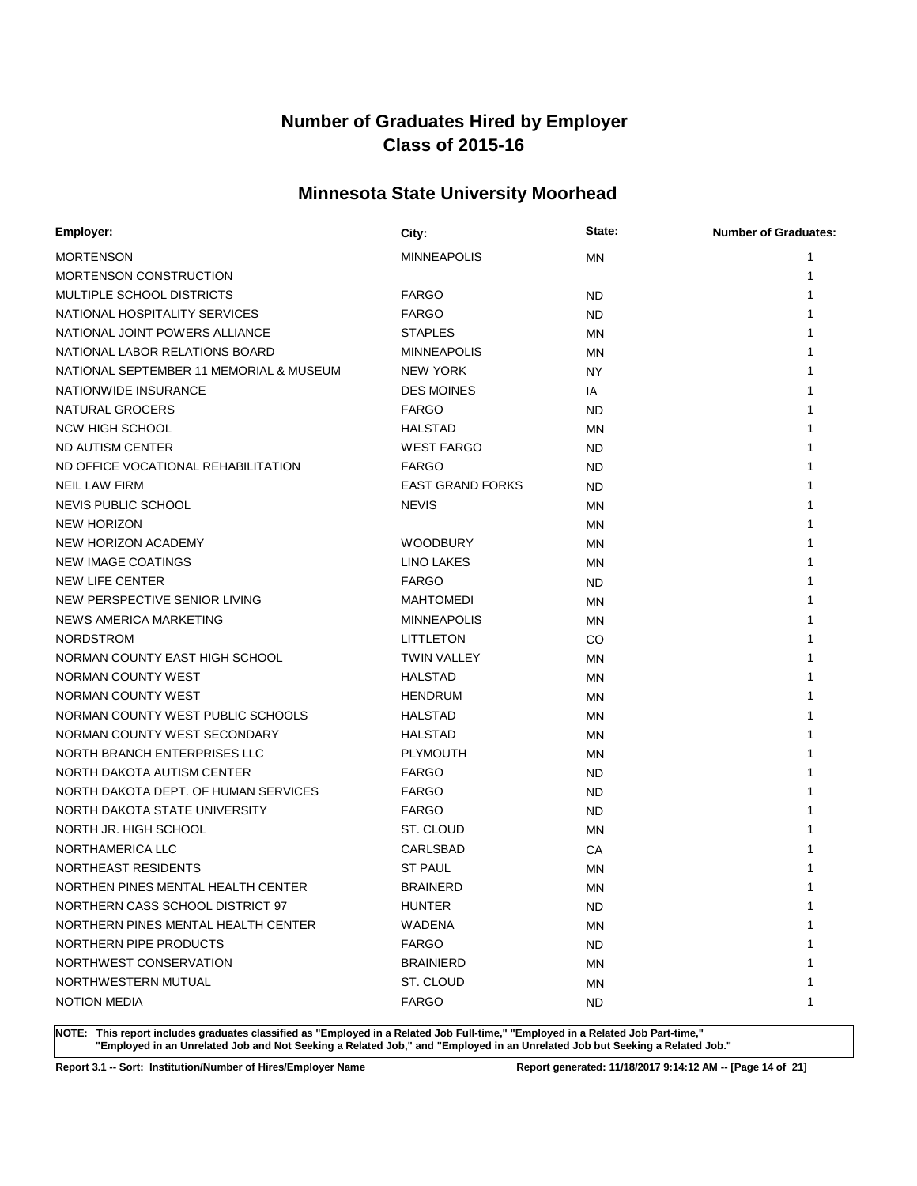# **Minnesota State University Moorhead**

| Employer:                               | City:                   | State:    | <b>Number of Graduates:</b> |
|-----------------------------------------|-------------------------|-----------|-----------------------------|
| <b>MORTENSON</b>                        | <b>MINNEAPOLIS</b>      | <b>MN</b> |                             |
| MORTENSON CONSTRUCTION                  |                         |           |                             |
| MULTIPLE SCHOOL DISTRICTS               | <b>FARGO</b>            | <b>ND</b> |                             |
| NATIONAL HOSPITALITY SERVICES           | <b>FARGO</b>            | <b>ND</b> |                             |
| NATIONAL JOINT POWERS ALLIANCE          | <b>STAPLES</b>          | <b>MN</b> |                             |
| NATIONAL LABOR RELATIONS BOARD          | <b>MINNEAPOLIS</b>      | <b>MN</b> |                             |
| NATIONAL SEPTEMBER 11 MEMORIAL & MUSEUM | <b>NEW YORK</b>         | <b>NY</b> |                             |
| NATIONWIDE INSURANCE                    | <b>DES MOINES</b>       | IA        |                             |
| NATURAL GROCERS                         | <b>FARGO</b>            | <b>ND</b> |                             |
| <b>NCW HIGH SCHOOL</b>                  | <b>HALSTAD</b>          | MN        |                             |
| ND AUTISM CENTER                        | <b>WEST FARGO</b>       | <b>ND</b> |                             |
| ND OFFICE VOCATIONAL REHABILITATION     | <b>FARGO</b>            | <b>ND</b> |                             |
| NEIL LAW FIRM                           | <b>EAST GRAND FORKS</b> | <b>ND</b> |                             |
| NEVIS PUBLIC SCHOOL                     | <b>NEVIS</b>            | MN        |                             |
| <b>NEW HORIZON</b>                      |                         | <b>MN</b> |                             |
| NEW HORIZON ACADEMY                     | <b>WOODBURY</b>         | MN        |                             |
| <b>NEW IMAGE COATINGS</b>               | LINO LAKES              | MN        |                             |
| NEW LIFE CENTER                         | <b>FARGO</b>            | <b>ND</b> |                             |
| NEW PERSPECTIVE SENIOR LIVING           | <b>MAHTOMEDI</b>        | <b>MN</b> |                             |
| NEWS AMERICA MARKETING                  | <b>MINNEAPOLIS</b>      | MN        |                             |
| <b>NORDSTROM</b>                        | LITTLETON               | CO        |                             |
| NORMAN COUNTY EAST HIGH SCHOOL          | <b>TWIN VALLEY</b>      | MN        |                             |
| NORMAN COUNTY WEST                      | <b>HALSTAD</b>          | <b>MN</b> |                             |
| NORMAN COUNTY WEST                      | <b>HENDRUM</b>          | MN        |                             |
| NORMAN COUNTY WEST PUBLIC SCHOOLS       | <b>HALSTAD</b>          | MN        |                             |
| NORMAN COUNTY WEST SECONDARY            | <b>HALSTAD</b>          | MN        |                             |
| NORTH BRANCH ENTERPRISES LLC            | <b>PLYMOUTH</b>         | MN        |                             |
| NORTH DAKOTA AUTISM CENTER              | <b>FARGO</b>            | <b>ND</b> |                             |
| NORTH DAKOTA DEPT. OF HUMAN SERVICES    | <b>FARGO</b>            | <b>ND</b> |                             |
| NORTH DAKOTA STATE UNIVERSITY           | <b>FARGO</b>            | <b>ND</b> |                             |
| NORTH JR. HIGH SCHOOL                   | ST. CLOUD               | MN        |                             |
| NORTHAMERICA LLC                        | <b>CARLSBAD</b>         | СA        |                             |
| NORTHEAST RESIDENTS                     | <b>ST PAUL</b>          | <b>MN</b> |                             |
| NORTHEN PINES MENTAL HEALTH CENTER      | <b>BRAINERD</b>         | <b>MN</b> | 1                           |
| NORTHERN CASS SCHOOL DISTRICT 97        | HUNTER                  | <b>ND</b> | 1                           |
| NORTHERN PINES MENTAL HEALTH CENTER     | WADENA                  | MN        |                             |
| NORTHERN PIPE PRODUCTS                  | <b>FARGO</b>            | <b>ND</b> |                             |
| NORTHWEST CONSERVATION                  | <b>BRAINIERD</b>        | MN        |                             |
| NORTHWESTERN MUTUAL                     | ST. CLOUD               | MN        |                             |
| <b>NOTION MEDIA</b>                     | <b>FARGO</b>            | ND.       | 1                           |

**NOTE: This report includes graduates classified as "Employed in a Related Job Full-time," "Employed in a Related Job Part-time," "Employed in an Unrelated Job and Not Seeking a Related Job," and "Employed in an Unrelated Job but Seeking a Related Job."**

**Report 3.1 -- Sort: Institution/Number of Hires/Employer Name Report generated: 11/18/2017 9:14:12 AM -- [Page 14 of 21]**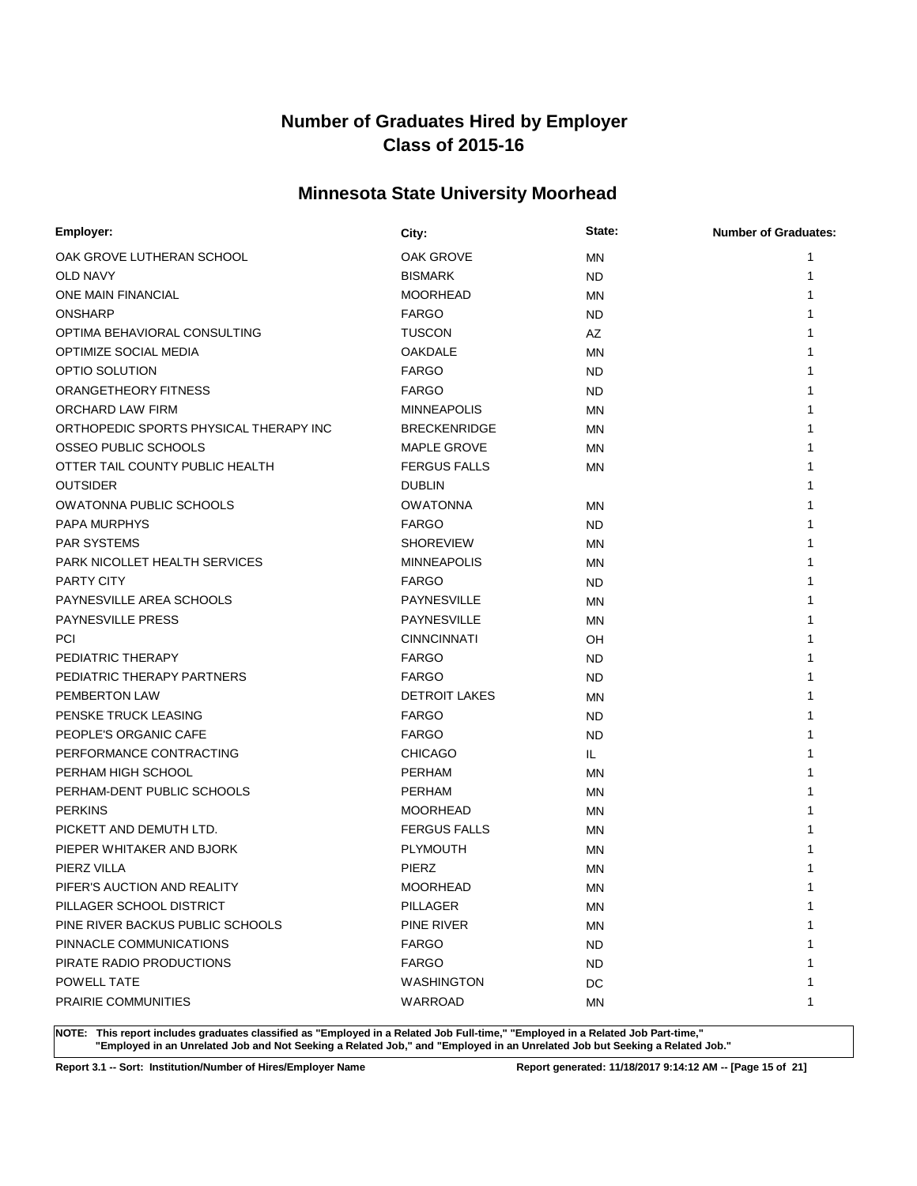# **Minnesota State University Moorhead**

| Employer:                              | City:                | State:    | <b>Number of Graduates:</b> |
|----------------------------------------|----------------------|-----------|-----------------------------|
| OAK GROVE LUTHERAN SCHOOL              | OAK GROVE            | <b>MN</b> | 1                           |
| OLD NAVY                               | <b>BISMARK</b>       | ND.       | 1                           |
| <b>ONE MAIN FINANCIAL</b>              | <b>MOORHEAD</b>      | <b>MN</b> | 1                           |
| <b>ONSHARP</b>                         | <b>FARGO</b>         | ND.       | 1                           |
| OPTIMA BEHAVIORAL CONSULTING           | <b>TUSCON</b>        | AZ        | 1                           |
| OPTIMIZE SOCIAL MEDIA                  | <b>OAKDALE</b>       | MN        |                             |
| OPTIO SOLUTION                         | <b>FARGO</b>         | ND.       |                             |
| ORANGETHEORY FITNESS                   | <b>FARGO</b>         | ND.       |                             |
| ORCHARD LAW FIRM                       | <b>MINNEAPOLIS</b>   | MN        |                             |
| ORTHOPEDIC SPORTS PHYSICAL THERAPY INC | <b>BRECKENRIDGE</b>  | MN        |                             |
| OSSEO PUBLIC SCHOOLS                   | <b>MAPLE GROVE</b>   | <b>MN</b> |                             |
| OTTER TAIL COUNTY PUBLIC HEALTH        | <b>FERGUS FALLS</b>  | <b>MN</b> |                             |
| <b>OUTSIDER</b>                        | <b>DUBLIN</b>        |           | 1                           |
| <b>OWATONNA PUBLIC SCHOOLS</b>         | <b>OWATONNA</b>      | MN        |                             |
| PAPA MURPHYS                           | <b>FARGO</b>         | ND.       |                             |
| <b>PAR SYSTEMS</b>                     | <b>SHOREVIEW</b>     | <b>MN</b> |                             |
| PARK NICOLLET HEALTH SERVICES          | <b>MINNEAPOLIS</b>   | MN        |                             |
| PARTY CITY                             | <b>FARGO</b>         | ND.       |                             |
| PAYNESVILLE AREA SCHOOLS               | <b>PAYNESVILLE</b>   | ΜN        |                             |
| <b>PAYNESVILLE PRESS</b>               | PAYNESVILLE          | <b>MN</b> |                             |
| <b>PCI</b>                             | <b>CINNCINNATI</b>   | OH        |                             |
| PEDIATRIC THERAPY                      | <b>FARGO</b>         | ND.       |                             |
| PEDIATRIC THERAPY PARTNERS             | <b>FARGO</b>         | ND.       |                             |
| <b>PEMBERTON LAW</b>                   | <b>DETROIT LAKES</b> | MN        |                             |
| PENSKE TRUCK LEASING                   | <b>FARGO</b>         | <b>ND</b> |                             |
| PEOPLE'S ORGANIC CAFE                  | <b>FARGO</b>         | <b>ND</b> |                             |
| PERFORMANCE CONTRACTING                | <b>CHICAGO</b>       | IL.       |                             |
| PERHAM HIGH SCHOOL                     | <b>PERHAM</b>        | <b>MN</b> | 1                           |
| PERHAM-DENT PUBLIC SCHOOLS             | <b>PERHAM</b>        | MN        |                             |
| <b>PERKINS</b>                         | <b>MOORHEAD</b>      | MN        |                             |
| PICKETT AND DEMUTH LTD.                | <b>FERGUS FALLS</b>  | <b>MN</b> |                             |
| PIEPER WHITAKER AND BJORK              | <b>PLYMOUTH</b>      | MN        |                             |
| PIERZ VILLA                            | PIERZ                | <b>MN</b> |                             |
| PIFER'S AUCTION AND REALITY            | <b>MOORHEAD</b>      | ΜN        | 1                           |
| PILLAGER SCHOOL DISTRICT               | <b>PILLAGER</b>      | ΜN        | 1                           |
| PINE RIVER BACKUS PUBLIC SCHOOLS       | PINE RIVER           | <b>MN</b> | 1                           |
| PINNACLE COMMUNICATIONS                | <b>FARGO</b>         | <b>ND</b> | 1                           |
| PIRATE RADIO PRODUCTIONS               | <b>FARGO</b>         | ND.       |                             |
| POWELL TATE                            | WASHINGTON           | DC        | 1                           |
| <b>PRAIRIE COMMUNITIES</b>             | WARROAD              | ΜN        | 1                           |

**NOTE: This report includes graduates classified as "Employed in a Related Job Full-time," "Employed in a Related Job Part-time," "Employed in an Unrelated Job and Not Seeking a Related Job," and "Employed in an Unrelated Job but Seeking a Related Job."**

**Report 3.1 -- Sort: Institution/Number of Hires/Employer Name Report generated: 11/18/2017 9:14:12 AM -- [Page 15 of 21]**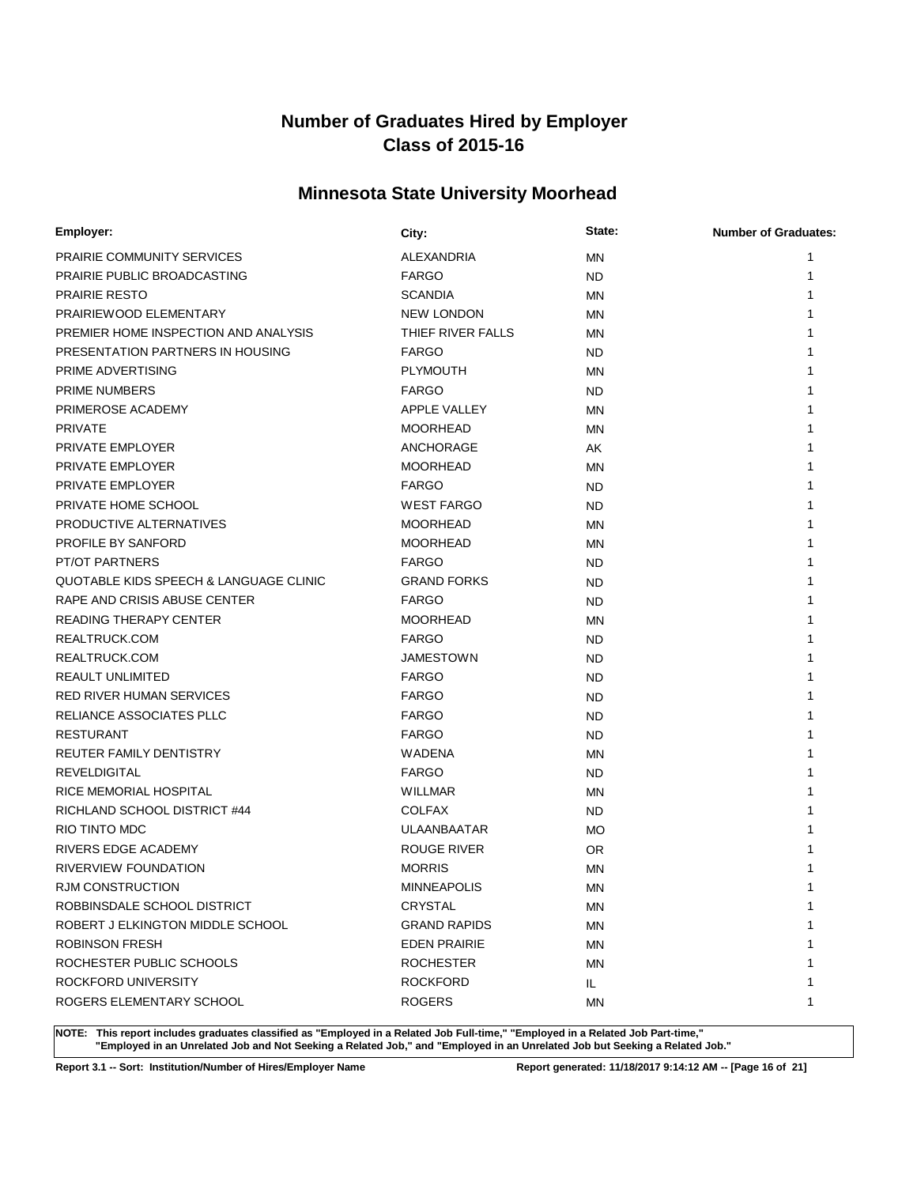# **Minnesota State University Moorhead**

| Employer:                              | City:               | State:    | <b>Number of Graduates:</b> |
|----------------------------------------|---------------------|-----------|-----------------------------|
| <b>PRAIRIE COMMUNITY SERVICES</b>      | ALEXANDRIA          | <b>MN</b> | 1                           |
| PRAIRIE PUBLIC BROADCASTING            | <b>FARGO</b>        | <b>ND</b> | 1                           |
| <b>PRAIRIE RESTO</b>                   | <b>SCANDIA</b>      | <b>MN</b> |                             |
| PRAIRIEWOOD ELEMENTARY                 | <b>NEW LONDON</b>   | <b>MN</b> |                             |
| PREMIER HOME INSPECTION AND ANALYSIS   | THIEF RIVER FALLS   | <b>MN</b> |                             |
| PRESENTATION PARTNERS IN HOUSING       | <b>FARGO</b>        | ND.       |                             |
| PRIME ADVERTISING                      | <b>PLYMOUTH</b>     | MN        |                             |
| <b>PRIME NUMBERS</b>                   | <b>FARGO</b>        | ND.       |                             |
| PRIMEROSE ACADEMY                      | <b>APPLE VALLEY</b> | MN        |                             |
| <b>PRIVATE</b>                         | <b>MOORHEAD</b>     | <b>MN</b> |                             |
| PRIVATE EMPLOYER                       | ANCHORAGE           | AΚ        |                             |
| PRIVATE EMPLOYER                       | <b>MOORHEAD</b>     | <b>MN</b> |                             |
| <b>PRIVATE EMPLOYER</b>                | <b>FARGO</b>        | <b>ND</b> |                             |
| PRIVATE HOME SCHOOL                    | <b>WEST FARGO</b>   | <b>ND</b> |                             |
| PRODUCTIVE ALTERNATIVES                | <b>MOORHEAD</b>     | <b>MN</b> |                             |
| PROFILE BY SANFORD                     | <b>MOORHEAD</b>     | <b>MN</b> |                             |
| <b>PT/OT PARTNERS</b>                  | <b>FARGO</b>        | <b>ND</b> |                             |
| QUOTABLE KIDS SPEECH & LANGUAGE CLINIC | <b>GRAND FORKS</b>  | <b>ND</b> |                             |
| RAPE AND CRISIS ABUSE CENTER           | <b>FARGO</b>        | <b>ND</b> |                             |
| <b>READING THERAPY CENTER</b>          | <b>MOORHEAD</b>     | <b>MN</b> |                             |
| REALTRUCK.COM                          | <b>FARGO</b>        | <b>ND</b> | 1                           |
| REALTRUCK.COM                          | <b>JAMESTOWN</b>    | <b>ND</b> | 1                           |
| REAULT UNLIMITED                       | <b>FARGO</b>        | ND.       |                             |
| RED RIVER HUMAN SERVICES               | <b>FARGO</b>        | <b>ND</b> |                             |
| RELIANCE ASSOCIATES PLLC               | <b>FARGO</b>        | ND        |                             |
| <b>RESTURANT</b>                       | <b>FARGO</b>        | <b>ND</b> |                             |
| REUTER FAMILY DENTISTRY                | <b>WADENA</b>       | <b>MN</b> |                             |
| <b>REVELDIGITAL</b>                    | <b>FARGO</b>        | ND.       | 1                           |
| <b>RICE MEMORIAL HOSPITAL</b>          | <b>WILLMAR</b>      | <b>MN</b> | 1                           |
| RICHLAND SCHOOL DISTRICT #44           | <b>COLFAX</b>       | <b>ND</b> | 1                           |
| <b>RIO TINTO MDC</b>                   | <b>ULAANBAATAR</b>  | <b>MO</b> |                             |
| RIVERS EDGE ACADEMY                    | ROUGE RIVER         | 0R        |                             |
| RIVERVIEW FOUNDATION                   | <b>MORRIS</b>       | MN        |                             |
| RJM CONSTRUCTION                       | <b>MINNEAPOLIS</b>  | <b>MN</b> | 1                           |
| ROBBINSDALE SCHOOL DISTRICT            | <b>CRYSTAL</b>      | ΜN        | 1                           |
| ROBERT J ELKINGTON MIDDLE SCHOOL       | <b>GRAND RAPIDS</b> | ΜN        | 1                           |
| <b>ROBINSON FRESH</b>                  | <b>EDEN PRAIRIE</b> | ΜN        | 1                           |
| ROCHESTER PUBLIC SCHOOLS               | <b>ROCHESTER</b>    | MN        | 1                           |
| ROCKFORD UNIVERSITY                    | <b>ROCKFORD</b>     | IL.       | 1                           |
| ROGERS ELEMENTARY SCHOOL               | <b>ROGERS</b>       | ΜN        | 1                           |

**NOTE: This report includes graduates classified as "Employed in a Related Job Full-time," "Employed in a Related Job Part-time," "Employed in an Unrelated Job and Not Seeking a Related Job," and "Employed in an Unrelated Job but Seeking a Related Job."**

**Report 3.1 -- Sort: Institution/Number of Hires/Employer Name Report generated: 11/18/2017 9:14:12 AM -- [Page 16 of 21]**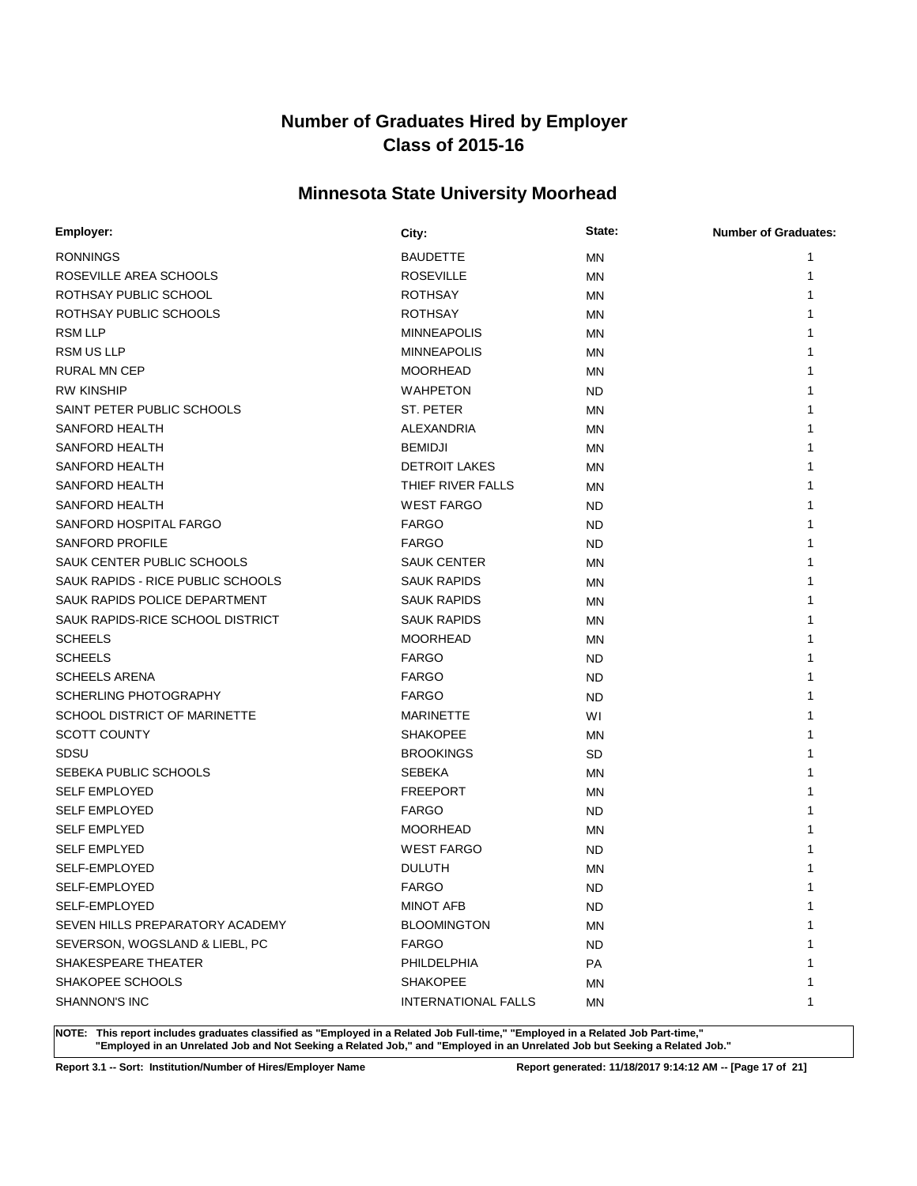# **Minnesota State University Moorhead**

| Employer:                         | City:                      | State:    | <b>Number of Graduates:</b> |
|-----------------------------------|----------------------------|-----------|-----------------------------|
| <b>RONNINGS</b>                   | <b>BAUDETTE</b>            | <b>MN</b> | 1                           |
| ROSEVILLE AREA SCHOOLS            | <b>ROSEVILLE</b>           | <b>MN</b> | 1                           |
| ROTHSAY PUBLIC SCHOOL             | <b>ROTHSAY</b>             | <b>MN</b> |                             |
| ROTHSAY PUBLIC SCHOOLS            | <b>ROTHSAY</b>             | <b>MN</b> |                             |
| <b>RSM LLP</b>                    | <b>MINNEAPOLIS</b>         | MN        |                             |
| <b>RSM US LLP</b>                 | <b>MINNEAPOLIS</b>         | <b>MN</b> |                             |
| RURAL MN CEP                      | <b>MOORHEAD</b>            | MN        |                             |
| <b>RW KINSHIP</b>                 | <b>WAHPETON</b>            | ND.       |                             |
| SAINT PETER PUBLIC SCHOOLS        | ST. PETER                  | MN        |                             |
| SANFORD HEALTH                    | ALEXANDRIA                 | <b>MN</b> |                             |
| SANFORD HEALTH                    | <b>BEMIDJI</b>             | <b>MN</b> |                             |
| SANFORD HEALTH                    | <b>DETROIT LAKES</b>       | <b>MN</b> |                             |
| SANFORD HEALTH                    | THIEF RIVER FALLS          | MN        | 1                           |
| SANFORD HEALTH                    | <b>WEST FARGO</b>          | <b>ND</b> | 1                           |
| SANFORD HOSPITAL FARGO            | <b>FARGO</b>               | ND        |                             |
| <b>SANFORD PROFILE</b>            | <b>FARGO</b>               | <b>ND</b> | 1                           |
| SAUK CENTER PUBLIC SCHOOLS        | <b>SAUK CENTER</b>         | MN        |                             |
| SAUK RAPIDS - RICE PUBLIC SCHOOLS | <b>SAUK RAPIDS</b>         | <b>MN</b> |                             |
| SAUK RAPIDS POLICE DEPARTMENT     | <b>SAUK RAPIDS</b>         | <b>MN</b> |                             |
| SAUK RAPIDS-RICE SCHOOL DISTRICT  | <b>SAUK RAPIDS</b>         | <b>MN</b> |                             |
| <b>SCHEELS</b>                    | <b>MOORHEAD</b>            | MN        | 1                           |
| <b>SCHEELS</b>                    | <b>FARGO</b>               | ND        | 1                           |
| <b>SCHEELS ARENA</b>              | <b>FARGO</b>               | ND        |                             |
| <b>SCHERLING PHOTOGRAPHY</b>      | <b>FARGO</b>               | ND        | 1                           |
| SCHOOL DISTRICT OF MARINETTE      | <b>MARINETTE</b>           | W١        |                             |
| <b>SCOTT COUNTY</b>               | <b>SHAKOPEE</b>            | <b>MN</b> | 1                           |
| SDSU                              | <b>BROOKINGS</b>           | SD        |                             |
| SEBEKA PUBLIC SCHOOLS             | <b>SEBEKA</b>              | <b>MN</b> | 1                           |
| <b>SELF EMPLOYED</b>              | <b>FREEPORT</b>            | <b>MN</b> | 1                           |
| <b>SELF EMPLOYED</b>              | <b>FARGO</b>               | <b>ND</b> | 1                           |
| <b>SELF EMPLYED</b>               | <b>MOORHEAD</b>            | MN        |                             |
| <b>SELF EMPLYED</b>               | <b>WEST FARGO</b>          | ND        |                             |
| SELF-EMPLOYED                     | <b>DULUTH</b>              | <b>MN</b> |                             |
| SELF-EMPLOYED                     | <b>FARGO</b>               | <b>ND</b> | 1                           |
| SELF-EMPLOYED                     | <b>MINOT AFB</b>           | ND.       | 1                           |
| SEVEN HILLS PREPARATORY ACADEMY   | <b>BLOOMINGTON</b>         | <b>MN</b> | 1                           |
| SEVERSON, WOGSLAND & LIEBL, PC    | <b>FARGO</b>               | ND.       | 1                           |
| SHAKESPEARE THEATER               | PHILDELPHIA                | PA        | 1                           |
| SHAKOPEE SCHOOLS                  | <b>SHAKOPEE</b>            | ΜN        | 1                           |
| SHANNON'S INC                     | <b>INTERNATIONAL FALLS</b> | ΜN        | 1                           |

**NOTE: This report includes graduates classified as "Employed in a Related Job Full-time," "Employed in a Related Job Part-time," "Employed in an Unrelated Job and Not Seeking a Related Job," and "Employed in an Unrelated Job but Seeking a Related Job."**

**Report 3.1 -- Sort: Institution/Number of Hires/Employer Name Report generated: 11/18/2017 9:14:12 AM -- [Page 17 of 21]**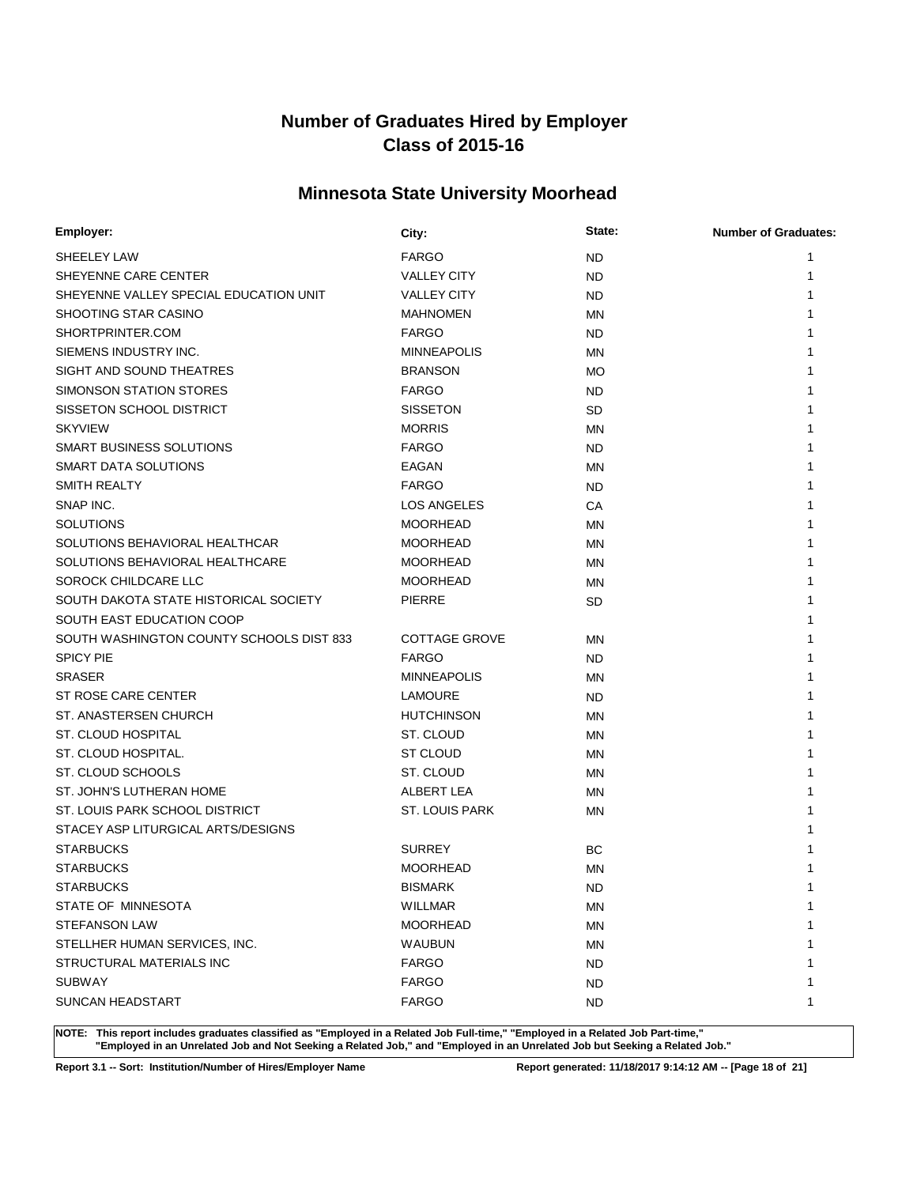# **Minnesota State University Moorhead**

| Employer:                                | City:                 | State:    | <b>Number of Graduates:</b> |
|------------------------------------------|-----------------------|-----------|-----------------------------|
| <b>SHEELEY LAW</b>                       | <b>FARGO</b>          | <b>ND</b> |                             |
| SHEYENNE CARE CENTER                     | <b>VALLEY CITY</b>    | <b>ND</b> |                             |
| SHEYENNE VALLEY SPECIAL EDUCATION UNIT   | <b>VALLEY CITY</b>    | <b>ND</b> |                             |
| SHOOTING STAR CASINO                     | <b>MAHNOMEN</b>       | MN        |                             |
| SHORTPRINTER.COM                         | <b>FARGO</b>          | <b>ND</b> |                             |
| SIEMENS INDUSTRY INC.                    | <b>MINNEAPOLIS</b>    | MN        |                             |
| SIGHT AND SOUND THEATRES                 | <b>BRANSON</b>        | <b>MO</b> |                             |
| SIMONSON STATION STORES                  | <b>FARGO</b>          | <b>ND</b> |                             |
| SISSETON SCHOOL DISTRICT                 | <b>SISSETON</b>       | SD        |                             |
| <b>SKYVIEW</b>                           | <b>MORRIS</b>         | MN        |                             |
| SMART BUSINESS SOLUTIONS                 | <b>FARGO</b>          | <b>ND</b> |                             |
| SMART DATA SOLUTIONS                     | EAGAN                 | MN        |                             |
| <b>SMITH REALTY</b>                      | <b>FARGO</b>          | <b>ND</b> |                             |
| SNAP INC.                                | <b>LOS ANGELES</b>    | СA        |                             |
| <b>SOLUTIONS</b>                         | <b>MOORHEAD</b>       | MN        |                             |
| SOLUTIONS BEHAVIORAL HEALTHCAR           | <b>MOORHEAD</b>       | MN        |                             |
| SOLUTIONS BEHAVIORAL HEALTHCARE          | <b>MOORHEAD</b>       | MN        |                             |
| SOROCK CHILDCARE LLC                     | <b>MOORHEAD</b>       | MN        |                             |
| SOUTH DAKOTA STATE HISTORICAL SOCIETY    | PIERRE                | SD        |                             |
| SOUTH EAST EDUCATION COOP                |                       |           |                             |
| SOUTH WASHINGTON COUNTY SCHOOLS DIST 833 | <b>COTTAGE GROVE</b>  | <b>MN</b> |                             |
| <b>SPICY PIE</b>                         | <b>FARGO</b>          | <b>ND</b> |                             |
| <b>SRASER</b>                            | <b>MINNEAPOLIS</b>    | <b>MN</b> |                             |
| ST ROSE CARE CENTER                      | <b>LAMOURE</b>        | <b>ND</b> |                             |
| ST. ANASTERSEN CHURCH                    | <b>HUTCHINSON</b>     | <b>MN</b> |                             |
| ST. CLOUD HOSPITAL                       | ST. CLOUD             | <b>MN</b> |                             |
| ST. CLOUD HOSPITAL.                      | <b>ST CLOUD</b>       | <b>MN</b> |                             |
| ST. CLOUD SCHOOLS                        | ST. CLOUD             | MN        |                             |
| ST. JOHN'S LUTHERAN HOME                 | ALBERT LEA            | <b>MN</b> |                             |
| ST. LOUIS PARK SCHOOL DISTRICT           | <b>ST. LOUIS PARK</b> | MN        |                             |
| STACEY ASP LITURGICAL ARTS/DESIGNS       |                       |           |                             |
| <b>STARBUCKS</b>                         | <b>SURREY</b>         | ВC        |                             |
| <b>STARBUCKS</b>                         | <b>MOORHEAD</b>       | <b>MN</b> |                             |
| <b>STARBUCKS</b>                         | <b>BISMARK</b>        | <b>ND</b> |                             |
| STATE OF MINNESOTA                       | WILLMAR               | MN        | 1                           |
| <b>STEFANSON LAW</b>                     | <b>MOORHEAD</b>       | <b>MN</b> |                             |
| STELLHER HUMAN SERVICES, INC.            | <b>WAUBUN</b>         | <b>MN</b> |                             |
| STRUCTURAL MATERIALS INC                 | <b>FARGO</b>          | <b>ND</b> |                             |
| <b>SUBWAY</b>                            | <b>FARGO</b>          | <b>ND</b> |                             |
| SUNCAN HEADSTART                         | <b>FARGO</b>          | <b>ND</b> | 1                           |

**NOTE: This report includes graduates classified as "Employed in a Related Job Full-time," "Employed in a Related Job Part-time," "Employed in an Unrelated Job and Not Seeking a Related Job," and "Employed in an Unrelated Job but Seeking a Related Job."**

**Report 3.1 -- Sort: Institution/Number of Hires/Employer Name Report generated: 11/18/2017 9:14:12 AM -- [Page 18 of 21]**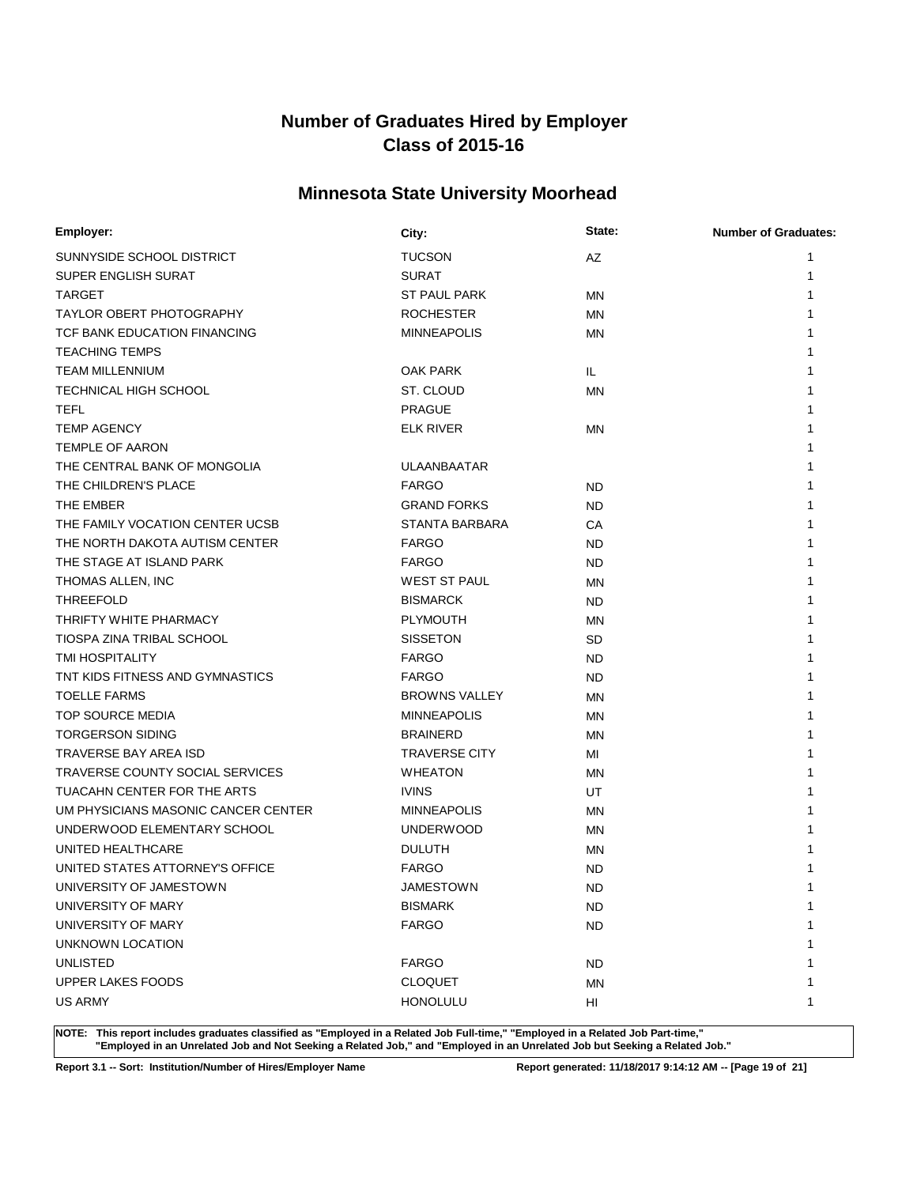# **Minnesota State University Moorhead**

| Employer:                           | City:                | State:    | <b>Number of Graduates:</b> |
|-------------------------------------|----------------------|-----------|-----------------------------|
| SUNNYSIDE SCHOOL DISTRICT           | <b>TUCSON</b>        | AZ        |                             |
| SUPER ENGLISH SURAT                 | <b>SURAT</b>         |           |                             |
| <b>TARGET</b>                       | <b>ST PAUL PARK</b>  | <b>MN</b> |                             |
| <b>TAYLOR OBERT PHOTOGRAPHY</b>     | <b>ROCHESTER</b>     | <b>MN</b> |                             |
| TCF BANK EDUCATION FINANCING        | <b>MINNEAPOLIS</b>   | <b>MN</b> |                             |
| <b>TEACHING TEMPS</b>               |                      |           |                             |
| <b>TEAM MILLENNIUM</b>              | OAK PARK             | IL.       |                             |
| <b>TECHNICAL HIGH SCHOOL</b>        | ST. CLOUD            | MN        |                             |
| <b>TEFL</b>                         | <b>PRAGUE</b>        |           |                             |
| <b>TEMP AGENCY</b>                  | <b>ELK RIVER</b>     | ΜN        |                             |
| TEMPLE OF AARON                     |                      |           |                             |
| THE CENTRAL BANK OF MONGOLIA        | <b>ULAANBAATAR</b>   |           |                             |
| THE CHILDREN'S PLACE                | <b>FARGO</b>         | <b>ND</b> |                             |
| THE EMBER                           | <b>GRAND FORKS</b>   | <b>ND</b> |                             |
| THE FAMILY VOCATION CENTER UCSB     | STANTA BARBARA       | СA        |                             |
| THE NORTH DAKOTA AUTISM CENTER      | <b>FARGO</b>         | <b>ND</b> |                             |
| THE STAGE AT ISLAND PARK            | <b>FARGO</b>         | <b>ND</b> |                             |
| THOMAS ALLEN, INC                   | <b>WEST ST PAUL</b>  | MN        |                             |
| <b>THREEFOLD</b>                    | <b>BISMARCK</b>      | <b>ND</b> |                             |
| THRIFTY WHITE PHARMACY              | <b>PLYMOUTH</b>      | MN        |                             |
| TIOSPA ZINA TRIBAL SCHOOL           | <b>SISSETON</b>      | <b>SD</b> |                             |
| <b>TMI HOSPITALITY</b>              | <b>FARGO</b>         | <b>ND</b> |                             |
| TNT KIDS FITNESS AND GYMNASTICS     | <b>FARGO</b>         | <b>ND</b> |                             |
| <b>TOELLE FARMS</b>                 | <b>BROWNS VALLEY</b> | <b>MN</b> |                             |
| TOP SOURCE MEDIA                    | <b>MINNEAPOLIS</b>   | <b>MN</b> |                             |
| <b>TORGERSON SIDING</b>             | <b>BRAINERD</b>      | <b>MN</b> |                             |
| <b>TRAVERSE BAY AREA ISD</b>        | <b>TRAVERSE CITY</b> | MI        |                             |
| TRAVERSE COUNTY SOCIAL SERVICES     | <b>WHEATON</b>       | ΜN        |                             |
| TUACAHN CENTER FOR THE ARTS         | <b>IVINS</b>         | UT        |                             |
| UM PHYSICIANS MASONIC CANCER CENTER | <b>MINNEAPOLIS</b>   | ΜN        |                             |
| UNDERWOOD ELEMENTARY SCHOOL         | <b>UNDERWOOD</b>     | MN        |                             |
| UNITED HEALTHCARE                   | <b>DULUTH</b>        | <b>MN</b> |                             |
| UNITED STATES ATTORNEY'S OFFICE     | <b>FARGO</b>         | <b>ND</b> |                             |
| UNIVERSITY OF JAMESTOWN             | <b>JAMESTOWN</b>     | <b>ND</b> | 1                           |
| UNIVERSITY OF MARY                  | <b>BISMARK</b>       | <b>ND</b> | 1                           |
| UNIVERSITY OF MARY                  | <b>FARGO</b>         | <b>ND</b> |                             |
| UNKNOWN LOCATION                    |                      |           |                             |
| <b>UNLISTED</b>                     | <b>FARGO</b>         | <b>ND</b> |                             |
| <b>UPPER LAKES FOODS</b>            | <b>CLOQUET</b>       | <b>MN</b> |                             |
| <b>US ARMY</b>                      | <b>HONOLULU</b>      | HI        | 1                           |

**NOTE: This report includes graduates classified as "Employed in a Related Job Full-time," "Employed in a Related Job Part-time," "Employed in an Unrelated Job and Not Seeking a Related Job," and "Employed in an Unrelated Job but Seeking a Related Job."**

**Report 3.1 -- Sort: Institution/Number of Hires/Employer Name Report generated: 11/18/2017 9:14:12 AM -- [Page 19 of 21]**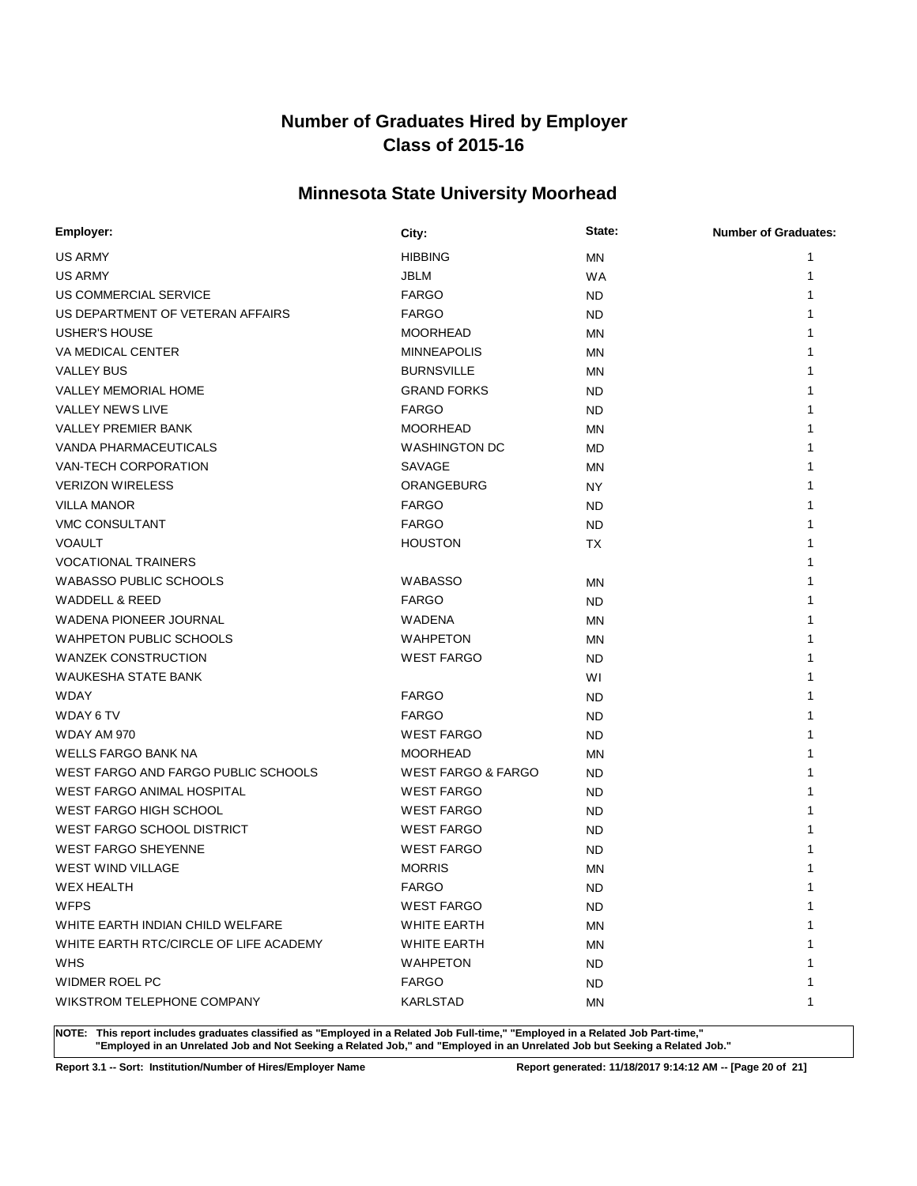# **Minnesota State University Moorhead**

| Employer:                              | City:                         | State:    | <b>Number of Graduates:</b> |
|----------------------------------------|-------------------------------|-----------|-----------------------------|
| <b>US ARMY</b>                         | <b>HIBBING</b>                | <b>MN</b> | 1                           |
| <b>US ARMY</b>                         | <b>JBLM</b>                   | <b>WA</b> | 1                           |
| US COMMERCIAL SERVICE                  | <b>FARGO</b>                  | ND.       | 1                           |
| US DEPARTMENT OF VETERAN AFFAIRS       | <b>FARGO</b>                  | ND.       |                             |
| <b>USHER'S HOUSE</b>                   | <b>MOORHEAD</b>               | <b>MN</b> |                             |
| VA MEDICAL CENTER                      | <b>MINNEAPOLIS</b>            | <b>MN</b> | 1                           |
| <b>VALLEY BUS</b>                      | <b>BURNSVILLE</b>             | <b>MN</b> | 1                           |
| VALLEY MEMORIAL HOME                   | <b>GRAND FORKS</b>            | ND.       |                             |
| <b>VALLEY NEWS LIVE</b>                | <b>FARGO</b>                  | ND.       |                             |
| <b>VALLEY PREMIER BANK</b>             | <b>MOORHEAD</b>               | ΜN        |                             |
| VANDA PHARMACEUTICALS                  | <b>WASHINGTON DC</b>          | MD.       |                             |
| VAN-TECH CORPORATION                   | SAVAGE                        | <b>MN</b> |                             |
| <b>VERIZON WIRELESS</b>                | ORANGEBURG                    | <b>NY</b> | 1                           |
| <b>VILLA MANOR</b>                     | <b>FARGO</b>                  | <b>ND</b> | 1                           |
| <b>VMC CONSULTANT</b>                  | <b>FARGO</b>                  | <b>ND</b> | 1                           |
| <b>VOAULT</b>                          | <b>HOUSTON</b>                | ТX        | 1                           |
| <b>VOCATIONAL TRAINERS</b>             |                               |           | 1                           |
| <b>WABASSO PUBLIC SCHOOLS</b>          | <b>WABASSO</b>                | <b>MN</b> | 1                           |
| WADDELL & REED                         | <b>FARGO</b>                  | ND.       |                             |
| <b>WADENA PIONEER JOURNAL</b>          | <b>WADENA</b>                 | <b>MN</b> | 1                           |
| <b>WAHPETON PUBLIC SCHOOLS</b>         | <b>WAHPETON</b>               | <b>MN</b> | 1                           |
| <b>WANZEK CONSTRUCTION</b>             | <b>WEST FARGO</b>             | <b>ND</b> | 1                           |
| WAUKESHA STATE BANK                    |                               | WI        | 1                           |
| <b>WDAY</b>                            | <b>FARGO</b>                  | ND.       |                             |
| WDAY 6 TV                              | <b>FARGO</b>                  | <b>ND</b> |                             |
| WDAY AM 970                            | <b>WEST FARGO</b>             | <b>ND</b> |                             |
| <b>WELLS FARGO BANK NA</b>             | <b>MOORHEAD</b>               | <b>MN</b> |                             |
| WEST FARGO AND FARGO PUBLIC SCHOOLS    | <b>WEST FARGO &amp; FARGO</b> | ND.       |                             |
| <b>WEST FARGO ANIMAL HOSPITAL</b>      | <b>WEST FARGO</b>             | <b>ND</b> |                             |
| <b>WEST FARGO HIGH SCHOOL</b>          | <b>WEST FARGO</b>             | <b>ND</b> |                             |
| WEST FARGO SCHOOL DISTRICT             | <b>WEST FARGO</b>             | <b>ND</b> |                             |
| <b>WEST FARGO SHEYENNE</b>             | <b>WEST FARGO</b>             | <b>ND</b> |                             |
| <b>WEST WIND VILLAGE</b>               | <b>MORRIS</b>                 | MN        |                             |
| <b>WEX HEALTH</b>                      | <b>FARGO</b>                  | <b>ND</b> | 1                           |
| <b>WFPS</b>                            | <b>WEST FARGO</b>             | ND.       | 1                           |
| WHITE EARTH INDIAN CHILD WELFARE       | <b>WHITE EARTH</b>            | <b>MN</b> | 1                           |
| WHITE EARTH RTC/CIRCLE OF LIFE ACADEMY | <b>WHITE EARTH</b>            | ΜN        | 1                           |
| <b>WHS</b>                             | <b>WAHPETON</b>               | ND.       | 1                           |
| <b>WIDMER ROEL PC</b>                  | <b>FARGO</b>                  | ND.       | 1                           |
| WIKSTROM TELEPHONE COMPANY             | KARLSTAD                      | ΜN        | 1                           |

**NOTE: This report includes graduates classified as "Employed in a Related Job Full-time," "Employed in a Related Job Part-time," "Employed in an Unrelated Job and Not Seeking a Related Job," and "Employed in an Unrelated Job but Seeking a Related Job."**

**Report 3.1 -- Sort: Institution/Number of Hires/Employer Name Report generated: 11/18/2017 9:14:12 AM -- [Page 20 of 21]**